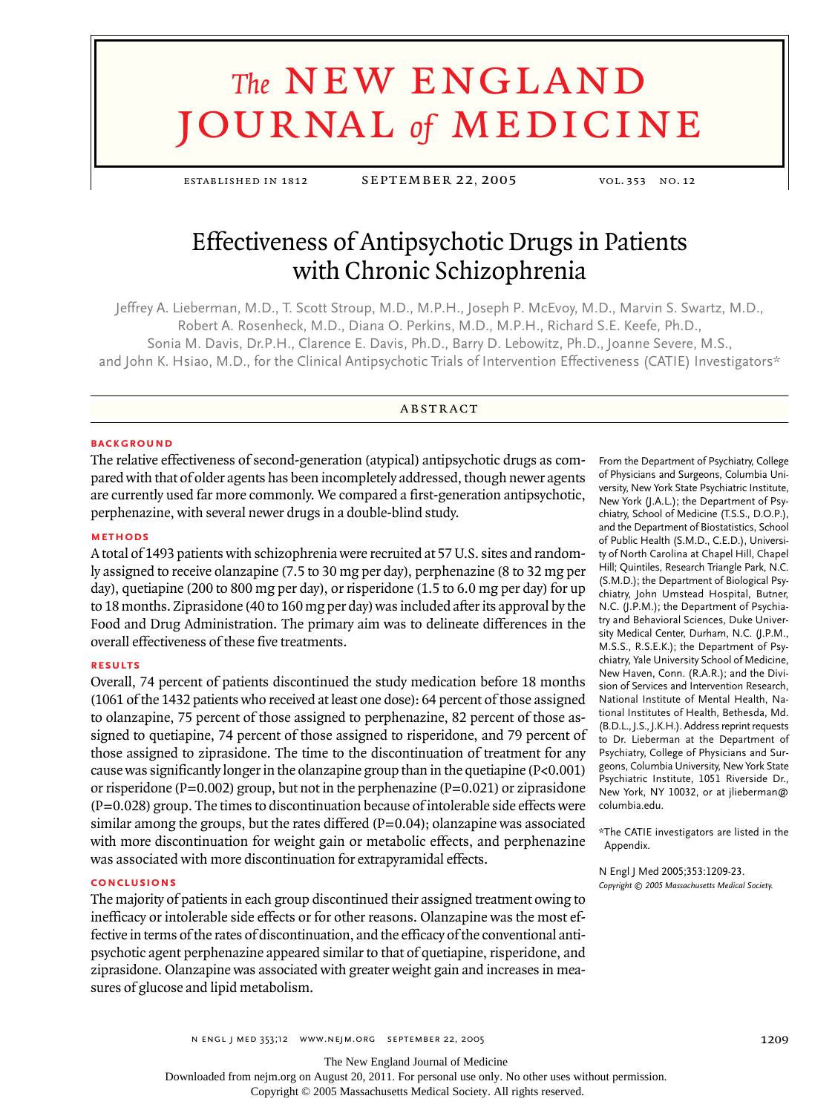# **The NEW ENGLAND OURNAL** of **MEDICINE**

established in 1812 september 22, 2005 vol. 353 no. 12

# Effectiveness of Antipsychotic Drugs in Patients with Chronic Schizophrenia

Jeffrey A. Lieberman, M.D., T. Scott Stroup, M.D., M.P.H., Joseph P. McEvoy, M.D., Marvin S. Swartz, M.D., Robert A. Rosenheck, M.D., Diana O. Perkins, M.D., M.P.H., Richard S.E. Keefe, Ph.D., Sonia M. Davis, Dr.P.H., Clarence E. Davis, Ph.D., Barry D. Lebowitz, Ph.D., Joanne Severe, M.S., and John K. Hsiao, M.D., for the Clinical Antipsychotic Trials of Intervention Effectiveness (CATIE) Investigators\*

# **ABSTRACT**

## **BACKGROUND**

The relative effectiveness of second-generation (atypical) antipsychotic drugs as compared with that of older agents has been incompletely addressed, though newer agents are currently used far more commonly. We compared a first-generation antipsychotic, perphenazine, with several newer drugs in a double-blind study.

# **methods**

A total of 1493 patients with schizophrenia were recruited at 57 U.S. sites and randomly assigned to receive olanzapine (7.5 to 30 mg per day), perphenazine (8 to 32 mg per day), quetiapine (200 to 800 mg per day), or risperidone (1.5 to 6.0 mg per day) for up to 18 months. Ziprasidone (40 to 160 mg per day) was included after its approval by the Food and Drug Administration. The primary aim was to delineate differences in the overall effectiveness of these five treatments.

# **results**

Overall, 74 percent of patients discontinued the study medication before 18 months (1061 of the 1432 patients who received at least one dose): 64 percent of those assigned to olanzapine, 75 percent of those assigned to perphenazine, 82 percent of those assigned to quetiapine, 74 percent of those assigned to risperidone, and 79 percent of those assigned to ziprasidone. The time to the discontinuation of treatment for any cause was significantly longer in the olanzapine group than in the quetiapine  $(P<0.001)$ or risperidone ( $P=0.002$ ) group, but not in the perphenazine ( $P=0.021$ ) or ziprasidone (P=0.028) group. The times to discontinuation because of intolerable side effects were similar among the groups, but the rates differed  $(P=0.04)$ ; olanzapine was associated with more discontinuation for weight gain or metabolic effects, and perphenazine was associated with more discontinuation for extrapyramidal effects.

# **conclusions**

The majority of patients in each group discontinued their assigned treatment owing to inefficacy or intolerable side effects or for other reasons. Olanzapine was the most effective in terms of the rates of discontinuation, and the efficacy of the conventional antipsychotic agent perphenazine appeared similar to that of quetiapine, risperidone, and ziprasidone. Olanzapine was associated with greater weight gain and increases in measures of glucose and lipid metabolism.

From the Department of Psychiatry, College of Physicians and Surgeons, Columbia University, New York State Psychiatric Institute, New York (J.A.L.); the Department of Psychiatry, School of Medicine (T.S.S., D.O.P.), and the Department of Biostatistics, School of Public Health (S.M.D., C.E.D.), University of North Carolina at Chapel Hill, Chapel Hill; Quintiles, Research Triangle Park, N.C. (S.M.D.); the Department of Biological Psychiatry, John Umstead Hospital, Butner, N.C. (J.P.M.); the Department of Psychiatry and Behavioral Sciences, Duke University Medical Center, Durham, N.C. (J.P.M., M.S.S., R.S.E.K.); the Department of Psychiatry, Yale University School of Medicine, New Haven, Conn. (R.A.R.); and the Division of Services and Intervention Research, National Institute of Mental Health, National Institutes of Health, Bethesda, Md. (B.D.L., J.S., J.K.H.). Address reprint requests to Dr. Lieberman at the Department of Psychiatry, College of Physicians and Surgeons, Columbia University, New York State Psychiatric Institute, 1051 Riverside Dr., New York, NY 10032, or at jlieberman@ columbia.edu.

\*The CATIE investigators are listed in the Appendix.

N Engl J Med 2005;353:1209-23. *Copyright © 2005 Massachusetts Medical Society.*

n engl j med 353;12 www.nejm.org september 22, 2005 1209 1209

The New England Journal of Medicine

Downloaded from nejm.org on August 20, 2011. For personal use only. No other uses without permission.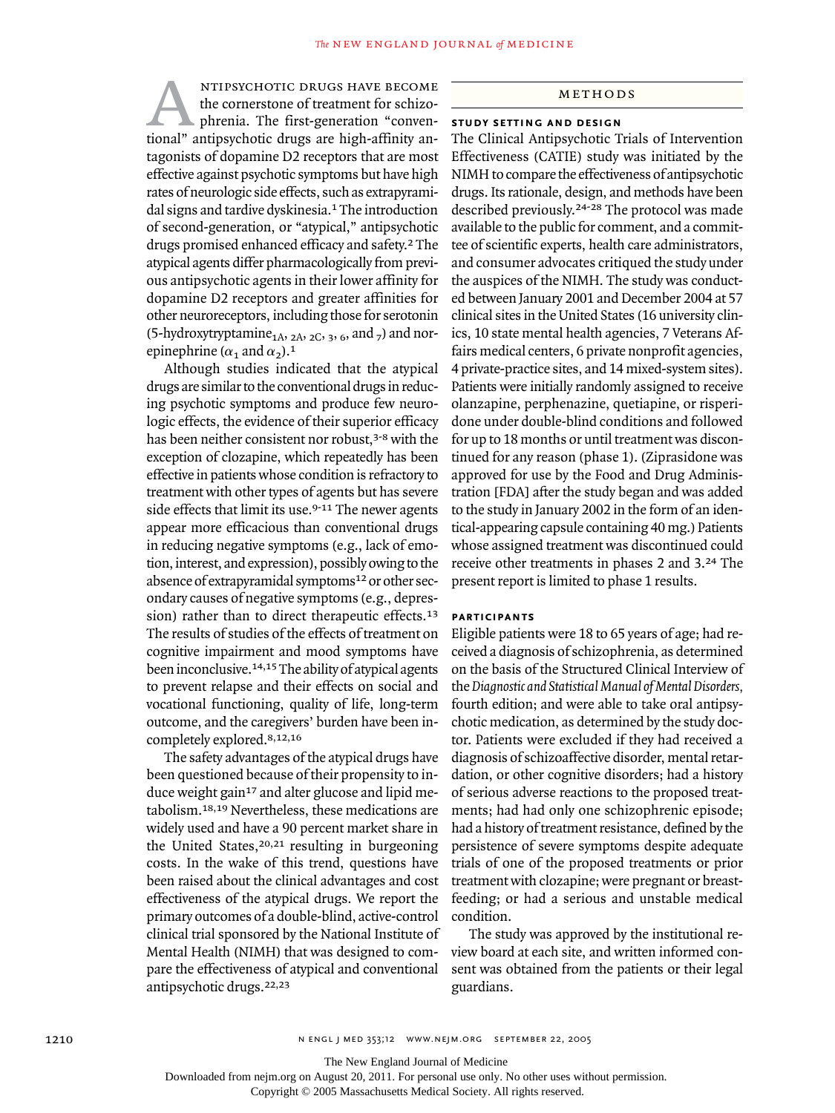ntipsychotic drugs have become the cornerstone of treatment for schizophrenia. The first-generation "conventional" antipsychotic drugs are high-affinity antagonists of dopamine D2 receptors that are most effective against psychotic symptoms but have high rates of neurologic side effects, such as extrapyramidal signs and tardive dyskinesia.1 The introduction of second-generation, or "atypical," antipsychotic drugs promised enhanced efficacy and safety.2 The atypical agents differ pharmacologically from previous antipsychotic agents in their lower affinity for dopamine D2 receptors and greater affinities for other neuroreceptors, including those for serotonin (5-hydroxytryptamine<sub>1A</sub>, <sub>2A</sub>, <sub>2C</sub>, <sub>3</sub>,  $_6$ , and <sub>7</sub>) and norepinephrine  $(\alpha_1$  and  $\alpha_2$ ).<sup>1</sup> The NEW ENGLAND JOURNAL of MEDICINE<br>
METHODS<br>
the cornerstone of treatment for schizo-<br>
phrenia. The first-generation "conven-<br>
study setting and design

Although studies indicated that the atypical drugs are similar to the conventional drugs in reducing psychotic symptoms and produce few neurologic effects, the evidence of their superior efficacy has been neither consistent nor robust,<sup>3-8</sup> with the exception of clozapine, which repeatedly has been effective in patients whose condition is refractory to treatment with other types of agents but has severe side effects that limit its use.<sup>9-11</sup> The newer agents appear more efficacious than conventional drugs in reducing negative symptoms (e.g., lack of emotion, interest, and expression), possibly owing to the absence of extrapyramidal symptoms<sup>12</sup> or other secondary causes of negative symptoms (e.g., depression) rather than to direct therapeutic effects.<sup>13</sup> The results of studies of the effects of treatment on cognitive impairment and mood symptoms have been inconclusive.14,15 The ability of atypical agents to prevent relapse and their effects on social and vocational functioning, quality of life, long-term outcome, and the caregivers' burden have been incompletely explored.8,12,16

The safety advantages of the atypical drugs have been questioned because of their propensity to induce weight gain<sup>17</sup> and alter glucose and lipid metabolism.18,19 Nevertheless, these medications are widely used and have a 90 percent market share in the United States,  $20,21$  resulting in burgeoning costs. In the wake of this trend, questions have been raised about the clinical advantages and cost effectiveness of the atypical drugs. We report the primary outcomes of a double-blind, active-control clinical trial sponsored by the National Institute of Mental Health (NIMH) that was designed to compare the effectiveness of atypical and conventional antipsychotic drugs.22,23

# **study setting and design**

The Clinical Antipsychotic Trials of Intervention Effectiveness (CATIE) study was initiated by the NIMH to compare the effectiveness of antipsychotic drugs. Its rationale, design, and methods have been described previously.24-28 The protocol was made available to the public for comment, and a committee of scientific experts, health care administrators, and consumer advocates critiqued the study under the auspices of the NIMH. The study was conducted between January 2001 and December 2004 at 57 clinical sites in the United States (16 university clinics, 10 state mental health agencies, 7 Veterans Affairs medical centers, 6 private nonprofit agencies, 4 private-practice sites, and 14 mixed-system sites). Patients were initially randomly assigned to receive olanzapine, perphenazine, quetiapine, or risperidone under double-blind conditions and followed for up to 18 months or until treatment was discontinued for any reason (phase 1). (Ziprasidone was approved for use by the Food and Drug Administration [FDA] after the study began and was added to the study in January 2002 in the form of an identical-appearing capsule containing 40 mg.) Patients whose assigned treatment was discontinued could receive other treatments in phases 2 and 3.24 The present report is limited to phase 1 results.

#### **participants**

Eligible patients were 18 to 65 years of age; had received a diagnosis of schizophrenia, as determined on the basis of the Structured Clinical Interview of the *Diagnostic and Statistical Manual of Mental Disorders,* fourth edition; and were able to take oral antipsychotic medication, as determined by the study doctor. Patients were excluded if they had received a diagnosis of schizoaffective disorder, mental retardation, or other cognitive disorders; had a history of serious adverse reactions to the proposed treatments; had had only one schizophrenic episode; had a history of treatment resistance, defined by the persistence of severe symptoms despite adequate trials of one of the proposed treatments or prior treatment with clozapine; were pregnant or breastfeeding; or had a serious and unstable medical condition.

The study was approved by the institutional review board at each site, and written informed consent was obtained from the patients or their legal guardians.

The New England Journal of Medicine

Downloaded from nejm.org on August 20, 2011. For personal use only. No other uses without permission.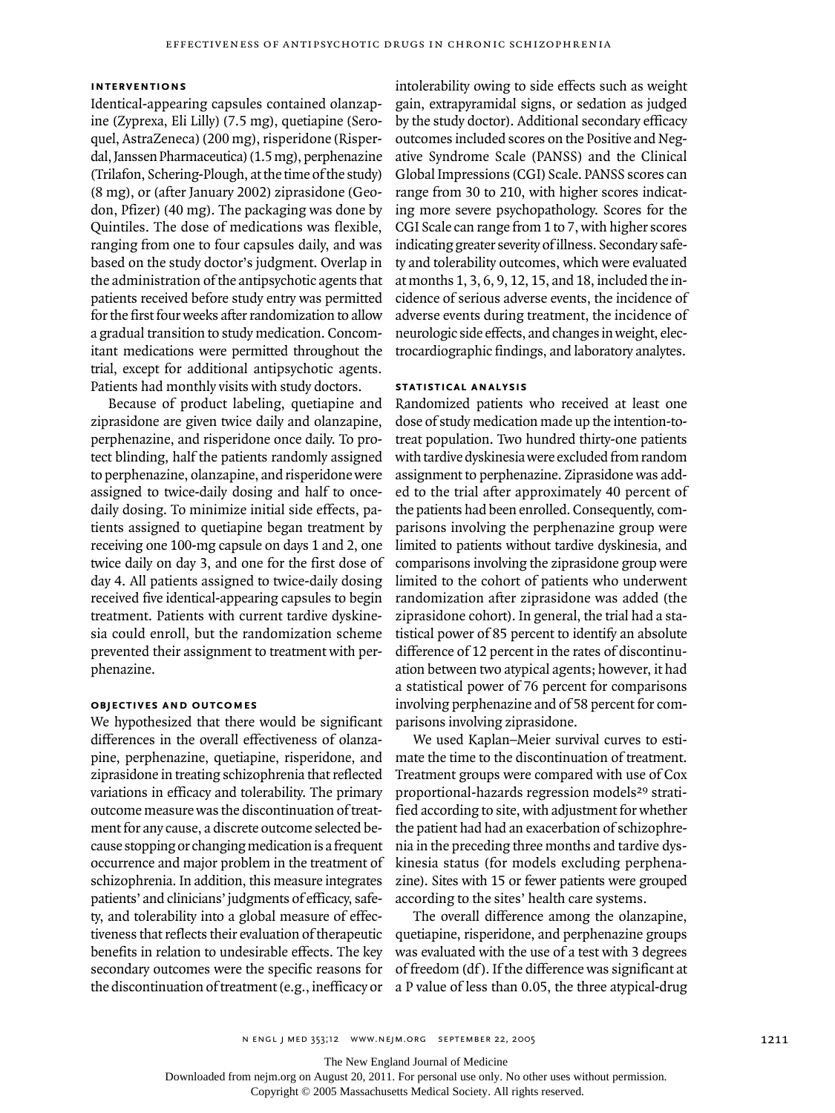### **interventions**

Identical-appearing capsules contained olanzapine (Zyprexa, Eli Lilly) (7.5 mg), quetiapine (Seroquel, AstraZeneca) (200 mg), risperidone (Risperdal, Janssen Pharmaceutica) (1.5 mg), perphenazine (Trilafon, Schering-Plough, at the time of the study) (8 mg), or (after January 2002) ziprasidone (Geodon, Pfizer) (40 mg). The packaging was done by Quintiles. The dose of medications was flexible, ranging from one to four capsules daily, and was based on the study doctor's judgment. Overlap in the administration of the antipsychotic agents that patients received before study entry was permitted for the first four weeks after randomization to allow a gradual transition to study medication. Concomitant medications were permitted throughout the trial, except for additional antipsychotic agents. Patients had monthly visits with study doctors.

Because of product labeling, quetiapine and ziprasidone are given twice daily and olanzapine, perphenazine, and risperidone once daily. To protect blinding, half the patients randomly assigned to perphenazine, olanzapine, and risperidone were assigned to twice-daily dosing and half to oncedaily dosing. To minimize initial side effects, patients assigned to quetiapine began treatment by receiving one 100-mg capsule on days 1 and 2, one twice daily on day 3, and one for the first dose of day 4. All patients assigned to twice-daily dosing received five identical-appearing capsules to begin treatment. Patients with current tardive dyskinesia could enroll, but the randomization scheme prevented their assignment to treatment with perphenazine.

# **objectives and outcomes**

We hypothesized that there would be significant differences in the overall effectiveness of olanzapine, perphenazine, quetiapine, risperidone, and ziprasidone in treating schizophrenia that reflected variations in efficacy and tolerability. The primary outcome measure was the discontinuation of treatment for any cause, a discrete outcome selected because stopping or changing medication is a frequent occurrence and major problem in the treatment of schizophrenia. In addition, this measure integrates patients' and clinicians' judgments of efficacy, safety, and tolerability into a global measure of effectiveness that reflects their evaluation of therapeutic benefits in relation to undesirable effects. The key secondary outcomes were the specific reasons for the discontinuation of treatment (e.g., inefficacy or

intolerability owing to side effects such as weight gain, extrapyramidal signs, or sedation as judged by the study doctor). Additional secondary efficacy outcomes included scores on the Positive and Negative Syndrome Scale (PANSS) and the Clinical Global Impressions (CGI) Scale. PANSS scores can range from 30 to 210, with higher scores indicating more severe psychopathology. Scores for the CGI Scale can range from 1 to 7, with higher scores indicating greater severity of illness. Secondary safety and tolerability outcomes, which were evaluated at months 1, 3, 6, 9, 12, 15, and 18, included the incidence of serious adverse events, the incidence of adverse events during treatment, the incidence of neurologic side effects, and changes in weight, electrocardiographic findings, and laboratory analytes.

# **statistical analysis**

Randomized patients who received at least one dose of study medication made up the intention-totreat population. Two hundred thirty-one patients with tardive dyskinesia were excluded from random assignment to perphenazine. Ziprasidone was added to the trial after approximately 40 percent of the patients had been enrolled. Consequently, comparisons involving the perphenazine group were limited to patients without tardive dyskinesia, and comparisons involving the ziprasidone group were limited to the cohort of patients who underwent randomization after ziprasidone was added (the ziprasidone cohort). In general, the trial had a statistical power of 85 percent to identify an absolute difference of 12 percent in the rates of discontinuation between two atypical agents; however, it had a statistical power of 76 percent for comparisons involving perphenazine and of 58 percent for comparisons involving ziprasidone.

We used Kaplan–Meier survival curves to estimate the time to the discontinuation of treatment. Treatment groups were compared with use of Cox proportional-hazards regression models<sup>29</sup> stratified according to site, with adjustment for whether the patient had had an exacerbation of schizophrenia in the preceding three months and tardive dyskinesia status (for models excluding perphenazine). Sites with 15 or fewer patients were grouped according to the sites' health care systems.

The overall difference among the olanzapine, quetiapine, risperidone, and perphenazine groups was evaluated with the use of a test with 3 degrees of freedom (df). If the difference was significant at a P value of less than 0.05, the three atypical-drug

The New England Journal of Medicine

Downloaded from nejm.org on August 20, 2011. For personal use only. No other uses without permission.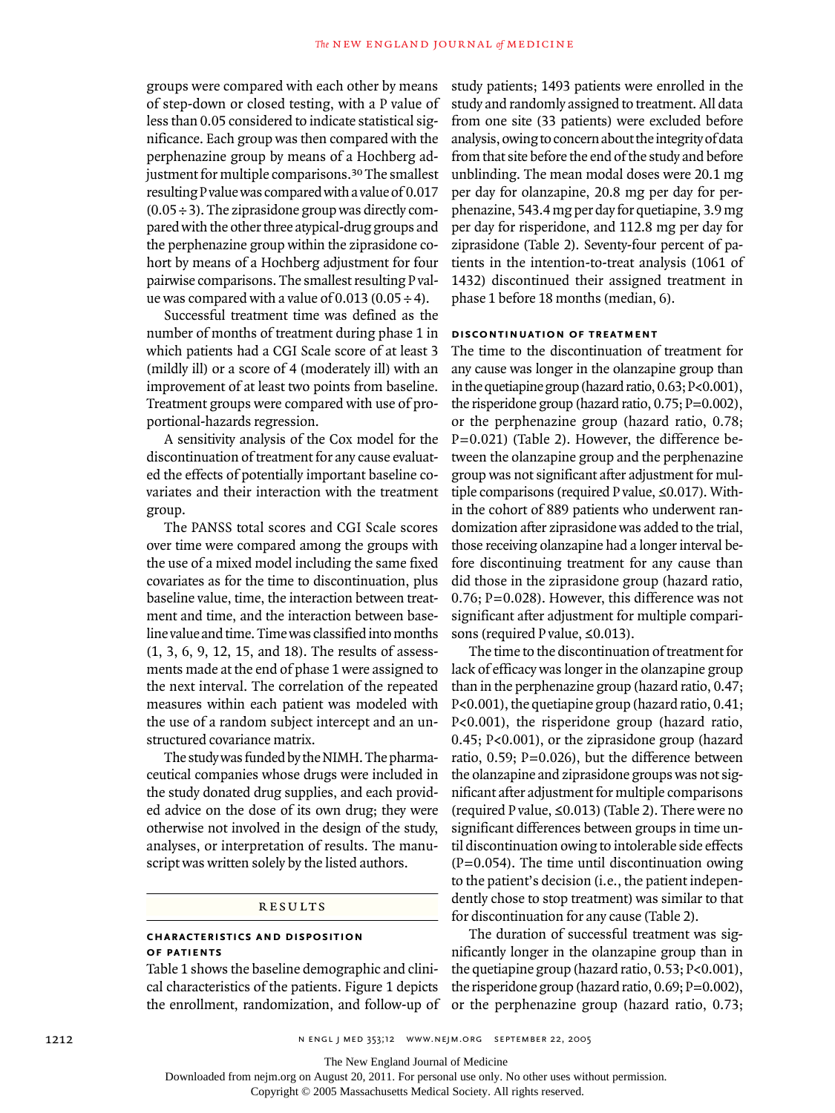groups were compared with each other by means of step-down or closed testing, with a P value of less than 0.05 considered to indicate statistical significance. Each group was then compared with the perphenazine group by means of a Hochberg adjustment for multiple comparisons.<sup>30</sup> The smallest resulting P value was compared with a value of 0.017  $(0.05 \div 3)$ . The ziprasidone group was directly compared with the other three atypical-drug groups and the perphenazine group within the ziprasidone cohort by means of a Hochberg adjustment for four pairwise comparisons. The smallest resulting P value was compared with a value of 0.013 (0.05  $\div$  4).

Successful treatment time was defined as the number of months of treatment during phase 1 in which patients had a CGI Scale score of at least 3 (mildly ill) or a score of 4 (moderately ill) with an improvement of at least two points from baseline. Treatment groups were compared with use of proportional-hazards regression.

A sensitivity analysis of the Cox model for the discontinuation of treatment for any cause evaluated the effects of potentially important baseline covariates and their interaction with the treatment group.

The PANSS total scores and CGI Scale scores over time were compared among the groups with the use of a mixed model including the same fixed covariates as for the time to discontinuation, plus baseline value, time, the interaction between treatment and time, and the interaction between baseline value and time. Time was classified into months (1, 3, 6, 9, 12, 15, and 18). The results of assessments made at the end of phase 1 were assigned to the next interval. The correlation of the repeated measures within each patient was modeled with the use of a random subject intercept and an unstructured covariance matrix.

The study was funded by the NIMH. The pharmaceutical companies whose drugs were included in the study donated drug supplies, and each provided advice on the dose of its own drug; they were otherwise not involved in the design of the study, analyses, or interpretation of results. The manuscript was written solely by the listed authors.

# **RESULTS**

# **characteristics and disposition of patients**

Table 1 shows the baseline demographic and clinical characteristics of the patients. Figure 1 depicts the enrollment, randomization, and follow-up of study patients; 1493 patients were enrolled in the study and randomly assigned to treatment. All data from one site (33 patients) were excluded before analysis, owing to concern about the integrity of data from that site before the end of the study and before unblinding. The mean modal doses were 20.1 mg per day for olanzapine, 20.8 mg per day for perphenazine, 543.4 mg per day for quetiapine, 3.9 mg per day for risperidone, and 112.8 mg per day for ziprasidone (Table 2). Seventy-four percent of patients in the intention-to-treat analysis (1061 of 1432) discontinued their assigned treatment in phase 1 before 18 months (median, 6).

## **discontinuation of treatment**

The time to the discontinuation of treatment for any cause was longer in the olanzapine group than in the quetiapine group (hazard ratio, 0.63; P<0.001), the risperidone group (hazard ratio,  $0.75$ ;  $P=0.002$ ), or the perphenazine group (hazard ratio, 0.78; P=0.021) (Table 2). However, the difference between the olanzapine group and the perphenazine group was not significant after adjustment for multiple comparisons (required P value, ≤0.017). Within the cohort of 889 patients who underwent randomization after ziprasidone was added to the trial, those receiving olanzapine had a longer interval before discontinuing treatment for any cause than did those in the ziprasidone group (hazard ratio, 0.76; P=0.028). However, this difference was not significant after adjustment for multiple comparisons (required P value, ≤0.013).

The time to the discontinuation of treatment for lack of efficacy was longer in the olanzapine group than in the perphenazine group (hazard ratio, 0.47; P<0.001), the quetiapine group (hazard ratio, 0.41; P<0.001), the risperidone group (hazard ratio, 0.45; P<0.001), or the ziprasidone group (hazard ratio,  $0.59$ ;  $P=0.026$ ), but the difference between the olanzapine and ziprasidone groups was not significant after adjustment for multiple comparisons (required P value, ≤0.013) (Table 2). There were no significant differences between groups in time until discontinuation owing to intolerable side effects  $(P=0.054)$ . The time until discontinuation owing to the patient's decision (i.e., the patient independently chose to stop treatment) was similar to that for discontinuation for any cause (Table 2).

The duration of successful treatment was significantly longer in the olanzapine group than in the quetiapine group (hazard ratio,  $0.53$ ;  $P<0.001$ ), the risperidone group (hazard ratio, 0.69; P=0.002), or the perphenazine group (hazard ratio, 0.73;

The New England Journal of Medicine

Downloaded from nejm.org on August 20, 2011. For personal use only. No other uses without permission.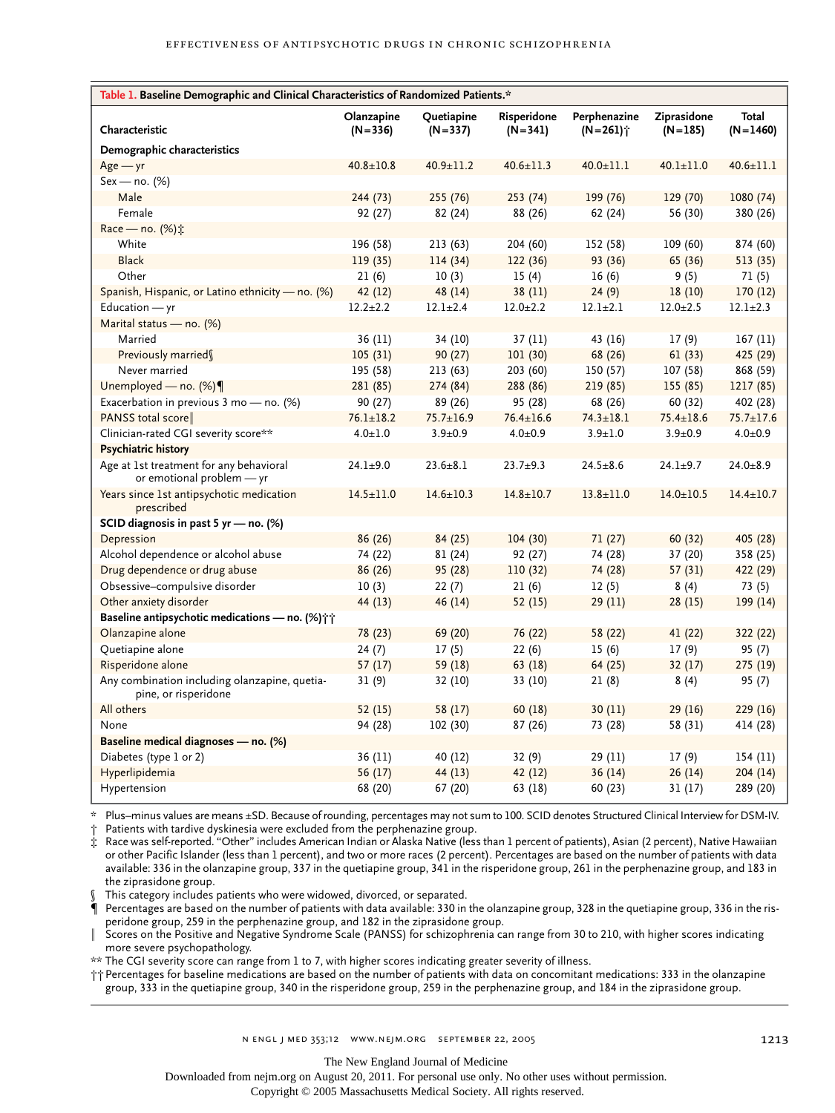| Table 1. Baseline Demographic and Clinical Characteristics of Randomized Patients.* |                 |                 |                 |                 |                 |                 |
|-------------------------------------------------------------------------------------|-----------------|-----------------|-----------------|-----------------|-----------------|-----------------|
|                                                                                     | Olanzapine      | Quetiapine      | Risperidone     | Perphenazine    | Ziprasidone     | Total           |
| Characteristic                                                                      | $(N=336)$       | $(N=337)$       | $(N=341)$       | (N=261)†        | $(N=185)$       | $(N=1460)$      |
| Demographic characteristics                                                         |                 |                 |                 |                 |                 |                 |
| $Age - yr$                                                                          | $40.8 \pm 10.8$ | $40.9 \pm 11.2$ | $40.6 \pm 11.3$ | $40.0 \pm 11.1$ | $40.1 \pm 11.0$ | $40.6 \pm 11.1$ |
| $Sex - no.$ (%)                                                                     |                 |                 |                 |                 |                 |                 |
| Male                                                                                | 244 (73)        | 255(76)         | 253 (74)        | 199 (76)        | 129 (70)        | 1080 (74)       |
| Female                                                                              | 92 (27)         | 82 (24)         | 88 (26)         | 62 (24)         | 56 (30)         | 380 (26)        |
| Race - no. (%) ±                                                                    |                 |                 |                 |                 |                 |                 |
| White                                                                               | 196 (58)        | 213(63)         | 204 (60)        | 152 (58)        | 109 (60)        | 874 (60)        |
| <b>Black</b>                                                                        | 119 (35)        | 114(34)         | 122(36)         | 93 (36)         | 65 (36)         | 513 (35)        |
| Other                                                                               | 21(6)           | 10(3)           | 15(4)           | 16(6)           | 9 (5)           | 71 (5)          |
| Spanish, Hispanic, or Latino ethnicity - no. (%)                                    | 42 (12)         | 48 (14)         | 38(11)          | 24(9)           | 18(10)          | 170(12)         |
| Education $-$ yr                                                                    | $12.2 \pm 2.2$  | $12.1 \pm 2.4$  | $12.0 \pm 2.2$  | $12.1 \pm 2.1$  | $12.0 \pm 2.5$  | $12.1 \pm 2.3$  |
| Marital status - no. (%)                                                            |                 |                 |                 |                 |                 |                 |
| Married                                                                             | 36(11)          | 34 (10)         | 37(11)          | 43 (16)         | 17(9)           | 167(11)         |
| Previously married                                                                  | 105(31)         | 90(27)          | 101(30)         | 68 (26)         | 61(33)          | 425 (29)        |
| Never married                                                                       | 195 (58)        | 213(63)         | 203 (60)        | 150 (57)        | 107 (58)        | 868 (59)        |
| Unemployed — no. $(\%)$                                                             | 281 (85)        | 274 (84)        | 288 (86)        | 219(85)         | 155 (85)        | 1217 (85)       |
| Exacerbation in previous $3 \text{ mo} - \text{no}$ . (%)                           | 90 (27)         | 89 (26)         | 95 (28)         | 68 (26)         | 60 (32)         | 402 (28)        |
| PANSS total score                                                                   | $76.1 \pm 18.2$ | $75.7 \pm 16.9$ | $76.4 \pm 16.6$ | $74.3 \pm 18.1$ | $75.4 \pm 18.6$ | $75.7 \pm 17.6$ |
| Clinician-rated CGI severity score**                                                | $4.0 + 1.0$     | $3.9 \pm 0.9$   | $4.0 + 0.9$     | $3.9 + 1.0$     | $3.9 \pm 0.9$   | $4.0 + 0.9$     |
| <b>Psychiatric history</b>                                                          |                 |                 |                 |                 |                 |                 |
| Age at 1st treatment for any behavioral<br>or emotional problem - yr                | $24.1 \pm 9.0$  | $23.6 \pm 8.1$  | $23.7 + 9.3$    | $24.5 + 8.6$    | $24.1 \pm 9.7$  | $24.0 + 8.9$    |
| Years since 1st antipsychotic medication<br>prescribed                              | $14.5 \pm 11.0$ | $14.6 \pm 10.3$ | $14.8 \pm 10.7$ | $13.8 \pm 11.0$ | $14.0 \pm 10.5$ | $14.4 \pm 10.7$ |
| SCID diagnosis in past 5 yr - no. $(\%)$                                            |                 |                 |                 |                 |                 |                 |
| Depression                                                                          | 86 (26)         | 84 (25)         | 104(30)         | 71(27)          | 60 (32)         | 405 (28)        |
| Alcohol dependence or alcohol abuse                                                 | 74 (22)         | 81 (24)         | 92 (27)         | 74 (28)         | 37 (20)         | 358 (25)        |
| Drug dependence or drug abuse                                                       | 86 (26)         | 95 (28)         | 110(32)         | 74 (28)         | 57(31)          | 422 (29)        |
| Obsessive-compulsive disorder                                                       | 10(3)           | 22(7)           | 21(6)           | 12(5)           | 8(4)            | 73 (5)          |
| Other anxiety disorder                                                              | 44 (13)         | 46 (14)         | 52(15)          | 29(11)          | 28(15)          | 199(14)         |
| Baseline antipsychotic medications - no. (%) $\ddot{\uparrow} \dot{\uparrow}$       |                 |                 |                 |                 |                 |                 |
| Olanzapine alone                                                                    | 78 (23)         | 69 (20)         | 76 (22)         | 58 (22)         | 41 (22)         | 322 (22)        |
| Quetiapine alone                                                                    | 24(7)           | 17(5)           | 22(6)           | 15(6)           | 17(9)           | 95 (7)          |
| Risperidone alone                                                                   | 57(17)          | 59 (18)         | 63(18)          | 64 (25)         | 32(17)          | 275 (19)        |
| Any combination including olanzapine, quetia-<br>pine, or risperidone               | 31(9)           | 32 (10)         | 33 (10)         | 21(8)           | 8(4)            | 95 (7)          |
| All others                                                                          | 52(15)          | 58(17)          | 60(18)          | 30(11)          | 29(16)          | 229(16)         |
| None                                                                                | 94 (28)         | 102 (30)        | 87 (26)         | 73 (28)         | 58 (31)         | 414 (28)        |
| Baseline medical diagnoses - no. (%)                                                |                 |                 |                 |                 |                 |                 |
| Diabetes (type 1 or 2)                                                              | 36(11)          | 40 (12)         | 32(9)           | 29 (11)         | 17(9)           | 154 (11)        |
| Hyperlipidemia                                                                      | 56(17)          | 44 (13)         | 42 (12)         | 36(14)          | 26(14)          | 204(14)         |
| Hypertension                                                                        | 68 (20)         | 67 (20)         | 63 (18)         | 60 (23)         | 31 (17)         | 289 (20)        |

\* Plus–minus values are means ±SD. Because of rounding, percentages may not sum to 100. SCID denotes Structured Clinical Interview for DSM-IV.

† Patients with tardive dyskinesia were excluded from the perphenazine group.

‡ Race was self-reported. "Other" includes American Indian or Alaska Native (less than 1 percent of patients), Asian (2 percent), Native Hawaiian or other Pacific Islander (less than 1 percent), and two or more races (2 percent). Percentages are based on the number of patients with data available: 336 in the olanzapine group, 337 in the quetiapine group, 341 in the risperidone group, 261 in the perphenazine group, and 183 in the ziprasidone group.

§ This category includes patients who were widowed, divorced, or separated.

¶ Percentages are based on the number of patients with data available: 330 in the olanzapine group, 328 in the quetiapine group, 336 in the risperidone group, 259 in the perphenazine group, and 182 in the ziprasidone group.

Scores on the Positive and Negative Syndrome Scale (PANSS) for schizophrenia can range from 30 to 210, with higher scores indicating more severe psychopathology.

\*\* The CGI severity score can range from 1 to 7, with higher scores indicating greater severity of illness.

††Percentages for baseline medications are based on the number of patients with data on concomitant medications: 333 in the olanzapine group, 333 in the quetiapine group, 340 in the risperidone group, 259 in the perphenazine group, and 184 in the ziprasidone group.

The New England Journal of Medicine

Downloaded from nejm.org on August 20, 2011. For personal use only. No other uses without permission.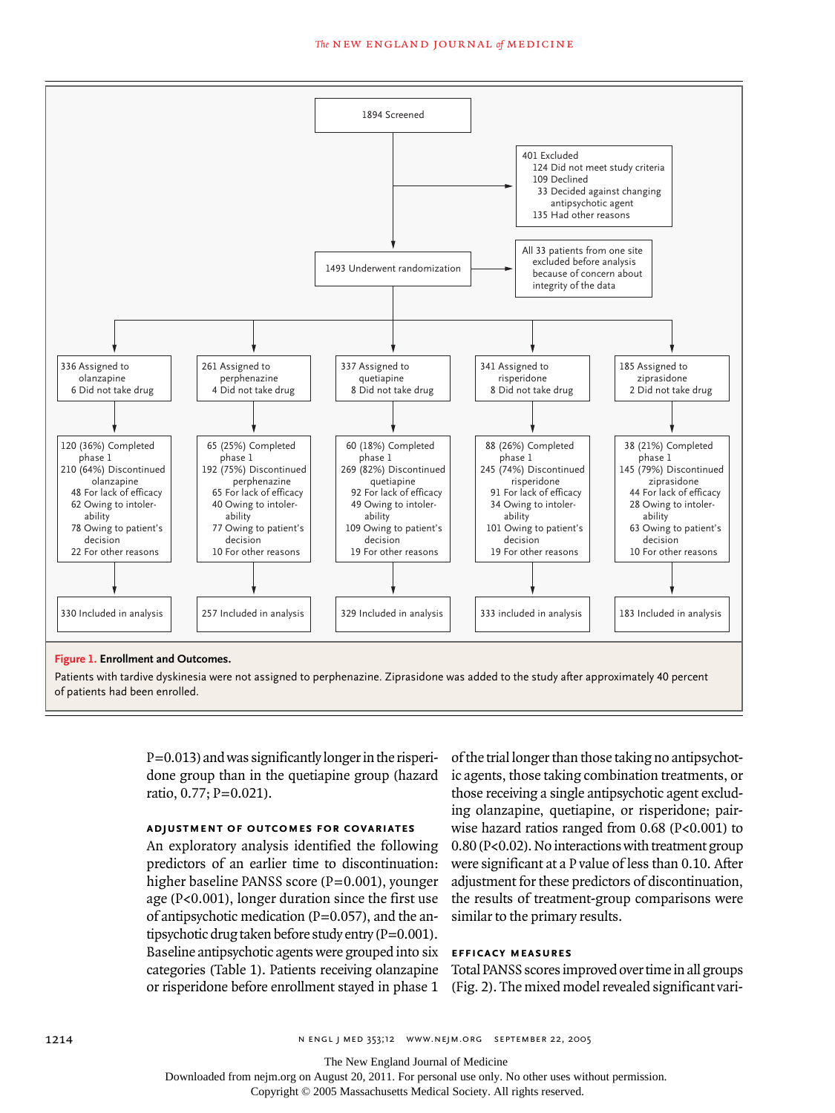#### *The* new england journal *of* medicine



#### **Figure 1. Enrollment and Outcomes.**

Patients with tardive dyskinesia were not assigned to perphenazine. Ziprasidone was added to the study after approximately 40 percent of patients had been enrolled.

> $P=0.013$ ) and was significantly longer in the risperidone group than in the quetiapine group (hazard ratio, 0.77; P=0.021).

# **adjustment of outcomes for covariates**

An exploratory analysis identified the following predictors of an earlier time to discontinuation: higher baseline PANSS score (P=0.001), younger age (P<0.001), longer duration since the first use of antipsychotic medication  $(P=0.057)$ , and the antipsychotic drug taken before study entry  $(P=0.001)$ . Baseline antipsychotic agents were grouped into six **EFFICACY MEASURES** categories (Table 1). Patients receiving olanzapine Total PANSS scores improved over time in all groups

of the trial longer than those taking no antipsychotic agents, those taking combination treatments, or those receiving a single antipsychotic agent excluding olanzapine, quetiapine, or risperidone; pairwise hazard ratios ranged from 0.68 (P<0.001) to 0.80 (P<0.02). No interactions with treatment group were significant at a P value of less than 0.10. After adjustment for these predictors of discontinuation, the results of treatment-group comparisons were similar to the primary results.

or risperidone before enrollment stayed in phase 1 (Fig. 2). The mixed model revealed significant vari-

The New England Journal of Medicine

Downloaded from nejm.org on August 20, 2011. For personal use only. No other uses without permission.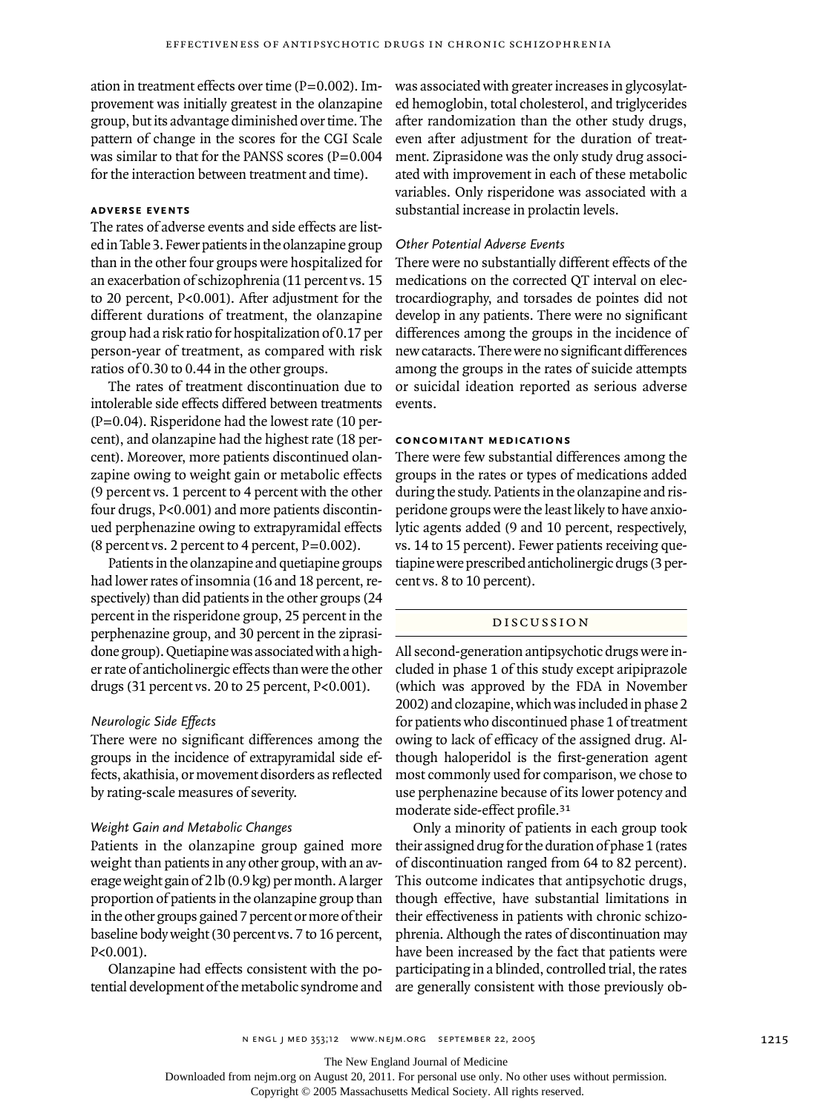ation in treatment effects over time  $(P=0.002)$ . Improvement was initially greatest in the olanzapine group, but its advantage diminished over time. The pattern of change in the scores for the CGI Scale was similar to that for the PANSS scores  $(P=0.004)$ for the interaction between treatment and time).

# **adverse events**

The rates of adverse events and side effects are listed in Table 3. Fewer patients in the olanzapine group than in the other four groups were hospitalized for an exacerbation of schizophrenia (11 percent vs. 15 to 20 percent, P<0.001). After adjustment for the different durations of treatment, the olanzapine group had a risk ratio for hospitalization of 0.17 per person-year of treatment, as compared with risk ratios of 0.30 to 0.44 in the other groups.

The rates of treatment discontinuation due to intolerable side effects differed between treatments (P=0.04). Risperidone had the lowest rate (10 percent), and olanzapine had the highest rate (18 percent). Moreover, more patients discontinued olanzapine owing to weight gain or metabolic effects (9 percent vs. 1 percent to 4 percent with the other four drugs, P<0.001) and more patients discontinued perphenazine owing to extrapyramidal effects (8 percent vs. 2 percent to 4 percent,  $P=0.002$ ).

Patients in the olanzapine and quetiapine groups had lower rates of insomnia (16 and 18 percent, respectively) than did patients in the other groups (24 percent in the risperidone group, 25 percent in the perphenazine group, and 30 percent in the ziprasidone group). Quetiapine was associated with a higher rate of anticholinergic effects than were the other drugs (31 percent vs. 20 to 25 percent,  $P<0.001$ ).

# *Neurologic Side Effects*

There were no significant differences among the groups in the incidence of extrapyramidal side effects, akathisia, or movement disorders as reflected by rating-scale measures of severity.

# *Weight Gain and Metabolic Changes*

Patients in the olanzapine group gained more weight than patients in any other group, with an average weight gain of 2 lb (0.9 kg) per month. A larger proportion of patients in the olanzapine group than in the other groups gained 7 percent or more of their baseline body weight (30 percent vs. 7 to 16 percent, P<0.001).

Olanzapine had effects consistent with the potential development of the metabolic syndrome and was associated with greater increases in glycosylated hemoglobin, total cholesterol, and triglycerides after randomization than the other study drugs, even after adjustment for the duration of treatment. Ziprasidone was the only study drug associated with improvement in each of these metabolic variables. Only risperidone was associated with a substantial increase in prolactin levels.

# *Other Potential Adverse Events*

There were no substantially different effects of the medications on the corrected QT interval on electrocardiography, and torsades de pointes did not develop in any patients. There were no significant differences among the groups in the incidence of new cataracts. There were no significant differences among the groups in the rates of suicide attempts or suicidal ideation reported as serious adverse events.

# **concomitant medications**

There were few substantial differences among the groups in the rates or types of medications added during the study. Patients in the olanzapine and risperidone groups were the least likely to have anxiolytic agents added (9 and 10 percent, respectively, vs. 14 to 15 percent). Fewer patients receiving quetiapine were prescribed anticholinergic drugs (3 percent vs. 8 to 10 percent).

### discussion

All second-generation antipsychotic drugs were included in phase 1 of this study except aripiprazole (which was approved by the FDA in November 2002) and clozapine, which was included in phase 2 for patients who discontinued phase 1 of treatment owing to lack of efficacy of the assigned drug. Although haloperidol is the first-generation agent most commonly used for comparison, we chose to use perphenazine because of its lower potency and moderate side-effect profile.<sup>31</sup>

Only a minority of patients in each group took their assigned drug for the duration of phase 1 (rates of discontinuation ranged from 64 to 82 percent). This outcome indicates that antipsychotic drugs, though effective, have substantial limitations in their effectiveness in patients with chronic schizophrenia. Although the rates of discontinuation may have been increased by the fact that patients were participating in a blinded, controlled trial, the rates are generally consistent with those previously ob-

1215

The New England Journal of Medicine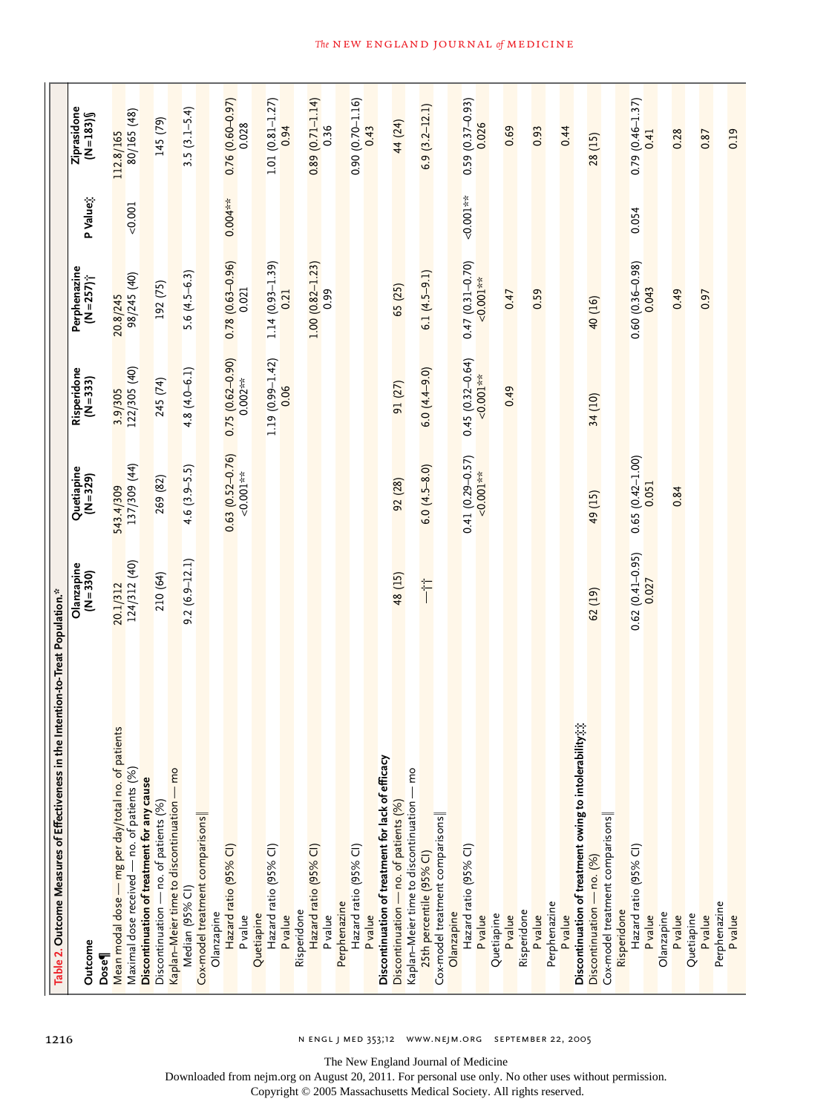| $0.89(0.71 - 1.14)$<br>$0.90(0.70 - 1.16)$<br>$0.59(0.37 - 0.93)$<br>Ziprasidone<br>$3.5(3.1-5.4)$<br>80/165 (48)<br>$(N=183)$<br>145 (79)<br>44 (24)<br>0.026<br>0.028<br>0.94<br>0.36<br>0.69<br>0.43<br>0.44<br>0.93<br>0.28<br>0.41<br>0.19<br>0.87<br>112.8/165<br>28 (15)<br>$50.001$ **<br>P Value;<br>$0.004***$<br>0.001<br>0.054<br>$0.78(0.63 - 0.96)$<br>$1.00(0.82 - 1.23)$<br>$0.47(0.31 - 0.70)$<br>$0.60(0.36 - 0.98)$<br>$1.14(0.93 - 1.39)$<br>Perphenazine<br>(N=257) †<br>$6.1(4.5-9.1)$<br>$5.6(4.5-6.3)$<br>98/245 (40)<br>$\frac{1}{2001}$ **<br>192 (75)<br>65 (25)<br>0.043<br>0.021<br>0.49<br>0.99<br>0.47<br>0.59<br>0.21<br>0.97<br>20.8/245<br>40 (16)<br>$0.75(0.62 - 0.90)$<br>$0.45(0.32 - 0.64)$<br>$1.19(0.99 - 1.42)$<br>Risperidone<br>$6.0(4.4-9.0)$<br>122/305 (40)<br>4.8 $(4.0 - 6.1)$<br>$< 0.001***$<br>$(N=333)$<br>245 (74)<br>$0.002***$<br>91 (27)<br>0.06<br>0.49<br>3.9/305<br>34 (10)<br>$0.63(0.52 - 0.76)$<br>$0.65(0.42 - 1.00)$<br>$0.41(0.29 - 0.57)$<br>$6.0(4.5 - 8.0)$<br>$4.6(3.9 - 5.5)$<br>137/309 (44)<br>Quetiapine<br>(N=329)<br>$<0.001***$<br>$\frac{1}{2000}$<br>269 (82)<br>92 (28)<br>0.051<br>543.4/309<br>0.84<br>49 (15)<br>$0.62(0.41-0.95)$<br>$0.027$<br>$9.2(6.9 - 12.1)$<br>124/312 (40)<br>Olanzapine<br>(N=330)<br>210 (64)<br>48 (15)<br>$\uparrow$<br>20.1/312<br>62 (19)<br>Discontinuation of treatment owing to intolerability;;;<br>Mean modal dose - mg per day/total no. of patients<br>Discontinuation of treatment for lack of efficacy<br>$-m$<br>Maximal dose received — no. of patients (%)<br>$-$ mo<br>Discontinuation of treatment for any cause<br>Kaplan-Meier time to discontinuation -<br>Kaplan-Meier time to discontinuation -<br>Discontinuation — no. of patients (%)<br>Discontinuation - no. of patients (%)<br>Cox-model treatment comparisons<br>Cox-model treatment comparisons<br>Cox-model treatment comparisons<br>Hazard ratio (95% CI)<br>Hazard ratio (95% CI)<br>Hazard ratio (95% CI)<br>Hazard ratio (95% CI)<br>Hazard ratio (95% CI)<br>Hazard ratio (95% CI)<br>25th percentile (95% Cl)<br>Discontinuation - no. (%)<br>Median (95% CI)<br>Perphenazine<br>Perphenazine<br>Perphenazine<br>Risperidone<br>Risperidone<br>Risperidone<br>Olanzapine<br>Olanzapine<br>Olanzapine<br>Quetiapine<br>Quetiapine<br>Pvalue<br>Pvalue<br>Pvalue<br>Quetiapine<br>Pvalue<br>Pvalue<br>Pvalue<br>Pvalue<br>Pvalue<br>Pvalue<br>Pvalue<br>Pvalue<br>Pvalue<br>Outcome<br><b>Dose</b> | Table 2. Outcome Measures of Effectiveness in the Intention-to-Treat Population.* |  |  |                      |
|-----------------------------------------------------------------------------------------------------------------------------------------------------------------------------------------------------------------------------------------------------------------------------------------------------------------------------------------------------------------------------------------------------------------------------------------------------------------------------------------------------------------------------------------------------------------------------------------------------------------------------------------------------------------------------------------------------------------------------------------------------------------------------------------------------------------------------------------------------------------------------------------------------------------------------------------------------------------------------------------------------------------------------------------------------------------------------------------------------------------------------------------------------------------------------------------------------------------------------------------------------------------------------------------------------------------------------------------------------------------------------------------------------------------------------------------------------------------------------------------------------------------------------------------------------------------------------------------------------------------------------------------------------------------------------------------------------------------------------------------------------------------------------------------------------------------------------------------------------------------------------------------------------------------------------------------------------------------------------------------------------------------------------------------------------------------------------------------------------------------------------------------------------------------------------------------------------------------------------------------------------------------------------------------------------------------------------------------------------------------------------------------------------------------------------------------------------------------------------------------------------|-----------------------------------------------------------------------------------|--|--|----------------------|
|                                                                                                                                                                                                                                                                                                                                                                                                                                                                                                                                                                                                                                                                                                                                                                                                                                                                                                                                                                                                                                                                                                                                                                                                                                                                                                                                                                                                                                                                                                                                                                                                                                                                                                                                                                                                                                                                                                                                                                                                                                                                                                                                                                                                                                                                                                                                                                                                                                                                                                     |                                                                                   |  |  |                      |
|                                                                                                                                                                                                                                                                                                                                                                                                                                                                                                                                                                                                                                                                                                                                                                                                                                                                                                                                                                                                                                                                                                                                                                                                                                                                                                                                                                                                                                                                                                                                                                                                                                                                                                                                                                                                                                                                                                                                                                                                                                                                                                                                                                                                                                                                                                                                                                                                                                                                                                     |                                                                                   |  |  |                      |
|                                                                                                                                                                                                                                                                                                                                                                                                                                                                                                                                                                                                                                                                                                                                                                                                                                                                                                                                                                                                                                                                                                                                                                                                                                                                                                                                                                                                                                                                                                                                                                                                                                                                                                                                                                                                                                                                                                                                                                                                                                                                                                                                                                                                                                                                                                                                                                                                                                                                                                     |                                                                                   |  |  |                      |
|                                                                                                                                                                                                                                                                                                                                                                                                                                                                                                                                                                                                                                                                                                                                                                                                                                                                                                                                                                                                                                                                                                                                                                                                                                                                                                                                                                                                                                                                                                                                                                                                                                                                                                                                                                                                                                                                                                                                                                                                                                                                                                                                                                                                                                                                                                                                                                                                                                                                                                     |                                                                                   |  |  |                      |
|                                                                                                                                                                                                                                                                                                                                                                                                                                                                                                                                                                                                                                                                                                                                                                                                                                                                                                                                                                                                                                                                                                                                                                                                                                                                                                                                                                                                                                                                                                                                                                                                                                                                                                                                                                                                                                                                                                                                                                                                                                                                                                                                                                                                                                                                                                                                                                                                                                                                                                     |                                                                                   |  |  |                      |
|                                                                                                                                                                                                                                                                                                                                                                                                                                                                                                                                                                                                                                                                                                                                                                                                                                                                                                                                                                                                                                                                                                                                                                                                                                                                                                                                                                                                                                                                                                                                                                                                                                                                                                                                                                                                                                                                                                                                                                                                                                                                                                                                                                                                                                                                                                                                                                                                                                                                                                     |                                                                                   |  |  |                      |
|                                                                                                                                                                                                                                                                                                                                                                                                                                                                                                                                                                                                                                                                                                                                                                                                                                                                                                                                                                                                                                                                                                                                                                                                                                                                                                                                                                                                                                                                                                                                                                                                                                                                                                                                                                                                                                                                                                                                                                                                                                                                                                                                                                                                                                                                                                                                                                                                                                                                                                     |                                                                                   |  |  |                      |
|                                                                                                                                                                                                                                                                                                                                                                                                                                                                                                                                                                                                                                                                                                                                                                                                                                                                                                                                                                                                                                                                                                                                                                                                                                                                                                                                                                                                                                                                                                                                                                                                                                                                                                                                                                                                                                                                                                                                                                                                                                                                                                                                                                                                                                                                                                                                                                                                                                                                                                     |                                                                                   |  |  |                      |
|                                                                                                                                                                                                                                                                                                                                                                                                                                                                                                                                                                                                                                                                                                                                                                                                                                                                                                                                                                                                                                                                                                                                                                                                                                                                                                                                                                                                                                                                                                                                                                                                                                                                                                                                                                                                                                                                                                                                                                                                                                                                                                                                                                                                                                                                                                                                                                                                                                                                                                     |                                                                                   |  |  |                      |
|                                                                                                                                                                                                                                                                                                                                                                                                                                                                                                                                                                                                                                                                                                                                                                                                                                                                                                                                                                                                                                                                                                                                                                                                                                                                                                                                                                                                                                                                                                                                                                                                                                                                                                                                                                                                                                                                                                                                                                                                                                                                                                                                                                                                                                                                                                                                                                                                                                                                                                     |                                                                                   |  |  | $0.76(0.60 - 0.97)$  |
|                                                                                                                                                                                                                                                                                                                                                                                                                                                                                                                                                                                                                                                                                                                                                                                                                                                                                                                                                                                                                                                                                                                                                                                                                                                                                                                                                                                                                                                                                                                                                                                                                                                                                                                                                                                                                                                                                                                                                                                                                                                                                                                                                                                                                                                                                                                                                                                                                                                                                                     |                                                                                   |  |  |                      |
|                                                                                                                                                                                                                                                                                                                                                                                                                                                                                                                                                                                                                                                                                                                                                                                                                                                                                                                                                                                                                                                                                                                                                                                                                                                                                                                                                                                                                                                                                                                                                                                                                                                                                                                                                                                                                                                                                                                                                                                                                                                                                                                                                                                                                                                                                                                                                                                                                                                                                                     |                                                                                   |  |  |                      |
|                                                                                                                                                                                                                                                                                                                                                                                                                                                                                                                                                                                                                                                                                                                                                                                                                                                                                                                                                                                                                                                                                                                                                                                                                                                                                                                                                                                                                                                                                                                                                                                                                                                                                                                                                                                                                                                                                                                                                                                                                                                                                                                                                                                                                                                                                                                                                                                                                                                                                                     |                                                                                   |  |  | $1.01 (0.81 - 1.27)$ |
|                                                                                                                                                                                                                                                                                                                                                                                                                                                                                                                                                                                                                                                                                                                                                                                                                                                                                                                                                                                                                                                                                                                                                                                                                                                                                                                                                                                                                                                                                                                                                                                                                                                                                                                                                                                                                                                                                                                                                                                                                                                                                                                                                                                                                                                                                                                                                                                                                                                                                                     |                                                                                   |  |  |                      |
|                                                                                                                                                                                                                                                                                                                                                                                                                                                                                                                                                                                                                                                                                                                                                                                                                                                                                                                                                                                                                                                                                                                                                                                                                                                                                                                                                                                                                                                                                                                                                                                                                                                                                                                                                                                                                                                                                                                                                                                                                                                                                                                                                                                                                                                                                                                                                                                                                                                                                                     |                                                                                   |  |  |                      |
|                                                                                                                                                                                                                                                                                                                                                                                                                                                                                                                                                                                                                                                                                                                                                                                                                                                                                                                                                                                                                                                                                                                                                                                                                                                                                                                                                                                                                                                                                                                                                                                                                                                                                                                                                                                                                                                                                                                                                                                                                                                                                                                                                                                                                                                                                                                                                                                                                                                                                                     |                                                                                   |  |  |                      |
|                                                                                                                                                                                                                                                                                                                                                                                                                                                                                                                                                                                                                                                                                                                                                                                                                                                                                                                                                                                                                                                                                                                                                                                                                                                                                                                                                                                                                                                                                                                                                                                                                                                                                                                                                                                                                                                                                                                                                                                                                                                                                                                                                                                                                                                                                                                                                                                                                                                                                                     |                                                                                   |  |  |                      |
|                                                                                                                                                                                                                                                                                                                                                                                                                                                                                                                                                                                                                                                                                                                                                                                                                                                                                                                                                                                                                                                                                                                                                                                                                                                                                                                                                                                                                                                                                                                                                                                                                                                                                                                                                                                                                                                                                                                                                                                                                                                                                                                                                                                                                                                                                                                                                                                                                                                                                                     |                                                                                   |  |  |                      |
|                                                                                                                                                                                                                                                                                                                                                                                                                                                                                                                                                                                                                                                                                                                                                                                                                                                                                                                                                                                                                                                                                                                                                                                                                                                                                                                                                                                                                                                                                                                                                                                                                                                                                                                                                                                                                                                                                                                                                                                                                                                                                                                                                                                                                                                                                                                                                                                                                                                                                                     |                                                                                   |  |  |                      |
|                                                                                                                                                                                                                                                                                                                                                                                                                                                                                                                                                                                                                                                                                                                                                                                                                                                                                                                                                                                                                                                                                                                                                                                                                                                                                                                                                                                                                                                                                                                                                                                                                                                                                                                                                                                                                                                                                                                                                                                                                                                                                                                                                                                                                                                                                                                                                                                                                                                                                                     |                                                                                   |  |  |                      |
|                                                                                                                                                                                                                                                                                                                                                                                                                                                                                                                                                                                                                                                                                                                                                                                                                                                                                                                                                                                                                                                                                                                                                                                                                                                                                                                                                                                                                                                                                                                                                                                                                                                                                                                                                                                                                                                                                                                                                                                                                                                                                                                                                                                                                                                                                                                                                                                                                                                                                                     |                                                                                   |  |  |                      |
|                                                                                                                                                                                                                                                                                                                                                                                                                                                                                                                                                                                                                                                                                                                                                                                                                                                                                                                                                                                                                                                                                                                                                                                                                                                                                                                                                                                                                                                                                                                                                                                                                                                                                                                                                                                                                                                                                                                                                                                                                                                                                                                                                                                                                                                                                                                                                                                                                                                                                                     |                                                                                   |  |  |                      |
|                                                                                                                                                                                                                                                                                                                                                                                                                                                                                                                                                                                                                                                                                                                                                                                                                                                                                                                                                                                                                                                                                                                                                                                                                                                                                                                                                                                                                                                                                                                                                                                                                                                                                                                                                                                                                                                                                                                                                                                                                                                                                                                                                                                                                                                                                                                                                                                                                                                                                                     |                                                                                   |  |  |                      |
|                                                                                                                                                                                                                                                                                                                                                                                                                                                                                                                                                                                                                                                                                                                                                                                                                                                                                                                                                                                                                                                                                                                                                                                                                                                                                                                                                                                                                                                                                                                                                                                                                                                                                                                                                                                                                                                                                                                                                                                                                                                                                                                                                                                                                                                                                                                                                                                                                                                                                                     |                                                                                   |  |  | $6.9(3.2 - 12.1)$    |
|                                                                                                                                                                                                                                                                                                                                                                                                                                                                                                                                                                                                                                                                                                                                                                                                                                                                                                                                                                                                                                                                                                                                                                                                                                                                                                                                                                                                                                                                                                                                                                                                                                                                                                                                                                                                                                                                                                                                                                                                                                                                                                                                                                                                                                                                                                                                                                                                                                                                                                     |                                                                                   |  |  |                      |
|                                                                                                                                                                                                                                                                                                                                                                                                                                                                                                                                                                                                                                                                                                                                                                                                                                                                                                                                                                                                                                                                                                                                                                                                                                                                                                                                                                                                                                                                                                                                                                                                                                                                                                                                                                                                                                                                                                                                                                                                                                                                                                                                                                                                                                                                                                                                                                                                                                                                                                     |                                                                                   |  |  |                      |
|                                                                                                                                                                                                                                                                                                                                                                                                                                                                                                                                                                                                                                                                                                                                                                                                                                                                                                                                                                                                                                                                                                                                                                                                                                                                                                                                                                                                                                                                                                                                                                                                                                                                                                                                                                                                                                                                                                                                                                                                                                                                                                                                                                                                                                                                                                                                                                                                                                                                                                     |                                                                                   |  |  |                      |
|                                                                                                                                                                                                                                                                                                                                                                                                                                                                                                                                                                                                                                                                                                                                                                                                                                                                                                                                                                                                                                                                                                                                                                                                                                                                                                                                                                                                                                                                                                                                                                                                                                                                                                                                                                                                                                                                                                                                                                                                                                                                                                                                                                                                                                                                                                                                                                                                                                                                                                     |                                                                                   |  |  |                      |
|                                                                                                                                                                                                                                                                                                                                                                                                                                                                                                                                                                                                                                                                                                                                                                                                                                                                                                                                                                                                                                                                                                                                                                                                                                                                                                                                                                                                                                                                                                                                                                                                                                                                                                                                                                                                                                                                                                                                                                                                                                                                                                                                                                                                                                                                                                                                                                                                                                                                                                     |                                                                                   |  |  |                      |
|                                                                                                                                                                                                                                                                                                                                                                                                                                                                                                                                                                                                                                                                                                                                                                                                                                                                                                                                                                                                                                                                                                                                                                                                                                                                                                                                                                                                                                                                                                                                                                                                                                                                                                                                                                                                                                                                                                                                                                                                                                                                                                                                                                                                                                                                                                                                                                                                                                                                                                     |                                                                                   |  |  |                      |
|                                                                                                                                                                                                                                                                                                                                                                                                                                                                                                                                                                                                                                                                                                                                                                                                                                                                                                                                                                                                                                                                                                                                                                                                                                                                                                                                                                                                                                                                                                                                                                                                                                                                                                                                                                                                                                                                                                                                                                                                                                                                                                                                                                                                                                                                                                                                                                                                                                                                                                     |                                                                                   |  |  |                      |
|                                                                                                                                                                                                                                                                                                                                                                                                                                                                                                                                                                                                                                                                                                                                                                                                                                                                                                                                                                                                                                                                                                                                                                                                                                                                                                                                                                                                                                                                                                                                                                                                                                                                                                                                                                                                                                                                                                                                                                                                                                                                                                                                                                                                                                                                                                                                                                                                                                                                                                     |                                                                                   |  |  |                      |
|                                                                                                                                                                                                                                                                                                                                                                                                                                                                                                                                                                                                                                                                                                                                                                                                                                                                                                                                                                                                                                                                                                                                                                                                                                                                                                                                                                                                                                                                                                                                                                                                                                                                                                                                                                                                                                                                                                                                                                                                                                                                                                                                                                                                                                                                                                                                                                                                                                                                                                     |                                                                                   |  |  |                      |
|                                                                                                                                                                                                                                                                                                                                                                                                                                                                                                                                                                                                                                                                                                                                                                                                                                                                                                                                                                                                                                                                                                                                                                                                                                                                                                                                                                                                                                                                                                                                                                                                                                                                                                                                                                                                                                                                                                                                                                                                                                                                                                                                                                                                                                                                                                                                                                                                                                                                                                     |                                                                                   |  |  |                      |
|                                                                                                                                                                                                                                                                                                                                                                                                                                                                                                                                                                                                                                                                                                                                                                                                                                                                                                                                                                                                                                                                                                                                                                                                                                                                                                                                                                                                                                                                                                                                                                                                                                                                                                                                                                                                                                                                                                                                                                                                                                                                                                                                                                                                                                                                                                                                                                                                                                                                                                     |                                                                                   |  |  |                      |
|                                                                                                                                                                                                                                                                                                                                                                                                                                                                                                                                                                                                                                                                                                                                                                                                                                                                                                                                                                                                                                                                                                                                                                                                                                                                                                                                                                                                                                                                                                                                                                                                                                                                                                                                                                                                                                                                                                                                                                                                                                                                                                                                                                                                                                                                                                                                                                                                                                                                                                     |                                                                                   |  |  |                      |
|                                                                                                                                                                                                                                                                                                                                                                                                                                                                                                                                                                                                                                                                                                                                                                                                                                                                                                                                                                                                                                                                                                                                                                                                                                                                                                                                                                                                                                                                                                                                                                                                                                                                                                                                                                                                                                                                                                                                                                                                                                                                                                                                                                                                                                                                                                                                                                                                                                                                                                     |                                                                                   |  |  |                      |
|                                                                                                                                                                                                                                                                                                                                                                                                                                                                                                                                                                                                                                                                                                                                                                                                                                                                                                                                                                                                                                                                                                                                                                                                                                                                                                                                                                                                                                                                                                                                                                                                                                                                                                                                                                                                                                                                                                                                                                                                                                                                                                                                                                                                                                                                                                                                                                                                                                                                                                     |                                                                                   |  |  |                      |
|                                                                                                                                                                                                                                                                                                                                                                                                                                                                                                                                                                                                                                                                                                                                                                                                                                                                                                                                                                                                                                                                                                                                                                                                                                                                                                                                                                                                                                                                                                                                                                                                                                                                                                                                                                                                                                                                                                                                                                                                                                                                                                                                                                                                                                                                                                                                                                                                                                                                                                     |                                                                                   |  |  | $0.79(0.46 - 1.37)$  |
|                                                                                                                                                                                                                                                                                                                                                                                                                                                                                                                                                                                                                                                                                                                                                                                                                                                                                                                                                                                                                                                                                                                                                                                                                                                                                                                                                                                                                                                                                                                                                                                                                                                                                                                                                                                                                                                                                                                                                                                                                                                                                                                                                                                                                                                                                                                                                                                                                                                                                                     |                                                                                   |  |  |                      |
|                                                                                                                                                                                                                                                                                                                                                                                                                                                                                                                                                                                                                                                                                                                                                                                                                                                                                                                                                                                                                                                                                                                                                                                                                                                                                                                                                                                                                                                                                                                                                                                                                                                                                                                                                                                                                                                                                                                                                                                                                                                                                                                                                                                                                                                                                                                                                                                                                                                                                                     |                                                                                   |  |  |                      |
|                                                                                                                                                                                                                                                                                                                                                                                                                                                                                                                                                                                                                                                                                                                                                                                                                                                                                                                                                                                                                                                                                                                                                                                                                                                                                                                                                                                                                                                                                                                                                                                                                                                                                                                                                                                                                                                                                                                                                                                                                                                                                                                                                                                                                                                                                                                                                                                                                                                                                                     |                                                                                   |  |  |                      |
|                                                                                                                                                                                                                                                                                                                                                                                                                                                                                                                                                                                                                                                                                                                                                                                                                                                                                                                                                                                                                                                                                                                                                                                                                                                                                                                                                                                                                                                                                                                                                                                                                                                                                                                                                                                                                                                                                                                                                                                                                                                                                                                                                                                                                                                                                                                                                                                                                                                                                                     |                                                                                   |  |  |                      |
|                                                                                                                                                                                                                                                                                                                                                                                                                                                                                                                                                                                                                                                                                                                                                                                                                                                                                                                                                                                                                                                                                                                                                                                                                                                                                                                                                                                                                                                                                                                                                                                                                                                                                                                                                                                                                                                                                                                                                                                                                                                                                                                                                                                                                                                                                                                                                                                                                                                                                                     |                                                                                   |  |  |                      |
|                                                                                                                                                                                                                                                                                                                                                                                                                                                                                                                                                                                                                                                                                                                                                                                                                                                                                                                                                                                                                                                                                                                                                                                                                                                                                                                                                                                                                                                                                                                                                                                                                                                                                                                                                                                                                                                                                                                                                                                                                                                                                                                                                                                                                                                                                                                                                                                                                                                                                                     |                                                                                   |  |  |                      |
|                                                                                                                                                                                                                                                                                                                                                                                                                                                                                                                                                                                                                                                                                                                                                                                                                                                                                                                                                                                                                                                                                                                                                                                                                                                                                                                                                                                                                                                                                                                                                                                                                                                                                                                                                                                                                                                                                                                                                                                                                                                                                                                                                                                                                                                                                                                                                                                                                                                                                                     |                                                                                   |  |  |                      |

# *The* new england journal *of* medicine

n engl j med 353;12 www.nejm.org september 22, 2005

The New England Journal of Medicine

Downloaded from nejm.org on August 20, 2011. For personal use only. No other uses without permission.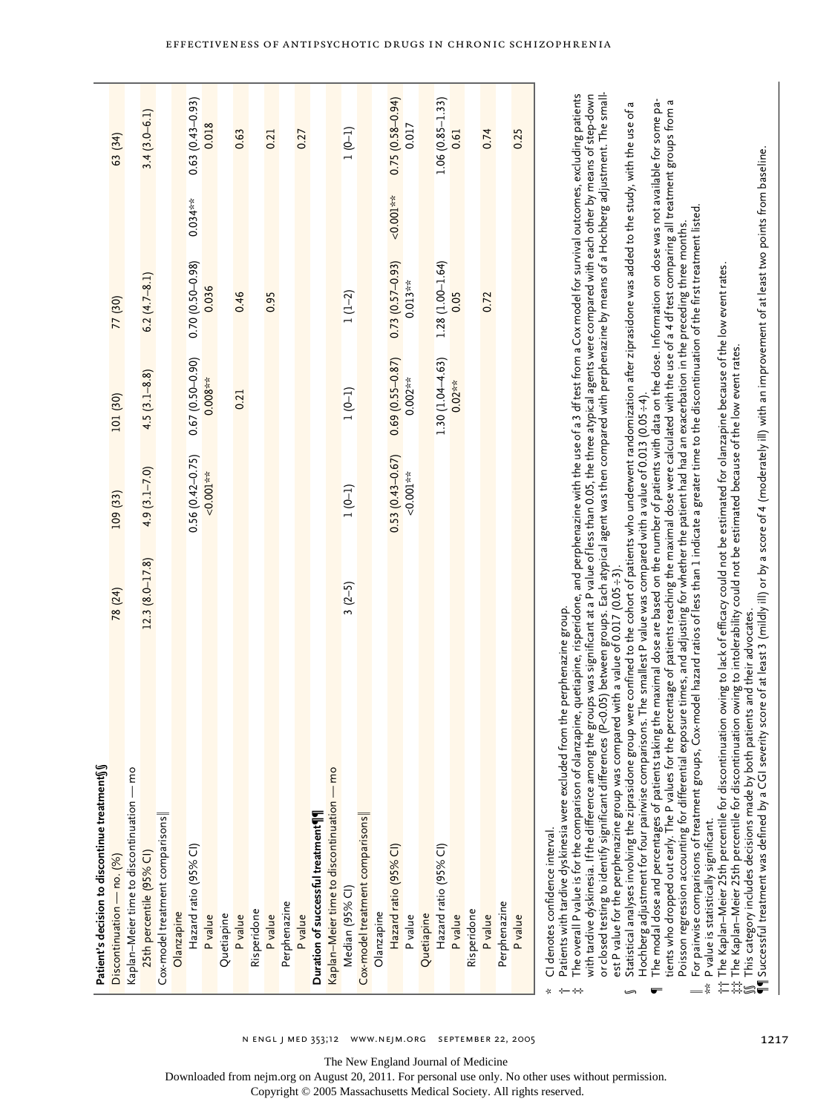| Patient's decision to discontinue treatment §§                                                                 |                    |                     |                     |                           |             |                             |
|----------------------------------------------------------------------------------------------------------------|--------------------|---------------------|---------------------|---------------------------|-------------|-----------------------------|
| $Discontinuation - no. (%)$                                                                                    | 78 (24)            | 109 (33)            | 101 (30)            | 77 (30)                   |             | 63 (34)                     |
| Kaplan-Meier time to discontinuation - mo                                                                      |                    |                     |                     |                           |             |                             |
| 25th percentile (95% CI)                                                                                       | $12.3(8.0 - 17.8)$ | $4.9(3.1 - 7.0)$    | $4.5(3.1 - 8.8)$    | $6.2(4.7 - 8.1)$          |             | $3.4(3.0-6.1)$              |
| Cox-model treatment comparisons                                                                                |                    |                     |                     |                           |             |                             |
| Olanzapine                                                                                                     |                    |                     |                     |                           |             |                             |
| Hazard ratio (95% CI)                                                                                          |                    | $0.56(0.42 - 0.75)$ | $0.67(0.50 - 0.90)$ | $0.70(0.50 - 0.98)$       | $0.034***$  | $0.63(0.43 - 0.93)$         |
| P value                                                                                                        |                    | $<0.001***$         | $0.008***$          | 0.036                     |             | 0.018                       |
| Quetiapine                                                                                                     |                    |                     |                     |                           |             |                             |
| P value                                                                                                        |                    |                     | 0.21                | 0.46                      |             | 0.63                        |
| Risperidone                                                                                                    |                    |                     |                     |                           |             |                             |
| P value                                                                                                        |                    |                     |                     | 0.95                      |             | 0.21                        |
| Perphenazine                                                                                                   |                    |                     |                     |                           |             |                             |
| P value                                                                                                        |                    |                     |                     |                           |             | 0.27                        |
| Duration of successful treatment                                                                               |                    |                     |                     |                           |             |                             |
| Kaplan-Meier time to discontinuation - mo                                                                      |                    |                     |                     |                           |             |                             |
| Median (95% CI)                                                                                                | $3(2-5)$           | $1(0-1)$            | $1(0-1)$            | $1(1-2)$                  |             | $1(0-1)$                    |
| Cox-model treatment comparisons                                                                                |                    |                     |                     |                           |             |                             |
| Olanzapine                                                                                                     |                    |                     |                     |                           |             |                             |
| Hazard ratio (95% CI)                                                                                          |                    | $0.53(0.43 - 0.67)$ | $0.69(0.55 - 0.87)$ | $0.73(0.57-0.93)$         | $-0.001***$ | $0.75(0.58-0.94)$           |
| Pvalue                                                                                                         |                    | $0.001***$          | $0.002***$          | $0.013***$                |             | 0.017                       |
| Quetiapine                                                                                                     |                    |                     |                     |                           |             |                             |
| Hazard ratio (95% CI)                                                                                          |                    |                     | $1.30(1.04 - 4.63)$ | $1.28(1.00-1.64)$<br>0.05 |             | $1.06(0.85-1.33)$<br>$0.61$ |
| P value                                                                                                        |                    |                     | $0.02***$           |                           |             |                             |
| Risperidone                                                                                                    |                    |                     |                     |                           |             |                             |
| <b>P</b> value                                                                                                 |                    |                     |                     | 0.72                      |             | 0.74                        |
| Perphenazine                                                                                                   |                    |                     |                     |                           |             |                             |
| P value                                                                                                        |                    |                     |                     |                           |             | 0.25                        |
| Patients with tardive dyskinesia were excluded from the perphenazine group.<br>CI denotes confidence interval. |                    |                     |                     |                           |             |                             |

 $+ - +$ 

- The overall P value is for the comparison of olanzapine, quetiapine, risperidone, and perphenazine with the use of a 3 df test from a Cox model for survival outcomes, excluding patients  $\updownarrow$  The overall P value is for the comparison of olanzapine, quetiapine, risperidone, and perphenazine with the use of a 3 df test from a Cox model for survival outcomes, excluding patients with tardive dyskinesia. If the difference among the groups was significant at a P value of less than 0.05, the three atypical agents were compared with each other by means of step-down with tardive dyskinesia. If the difference among the groups was significant at a P value of less than 0.05, the three atypical agents were compared with each other by means of step-down or closed testing to identify significant differences (P<0.05) between groups. Each atypical agent was then compared with perphenazine by means of a Hochberg adjustment. The smallor closed testing to identify significant differences (P<0.05) between groups. Each atypical agent was then compared with perphenazine by means of a Hochberg adjustment. The smallest P value for the perphenazine group was compared with a value of 0.017 (0.05÷3). est P value for the perphenazine group was compared with a value of 0.017 (0.05+3)
	- Statistical analyses involving the ziprasidone group were confined to the cohort of patients who underwent randomization after ziprasidone was added to the study, with the use of a  $\mathfrak f$  Statistical analyses involving the ziprasidone group were confined to the cohort of patients who underwent randomization after ziprasidone was added to the study, with the use of a Hochberg adjustment for four pairwise comparisons. The smallest P value was compared with a value of 0.013 (0.05÷4). Hochberg adjustment for four pairwise comparisons. The smallest P value was compared with a value of 0.013 (0.05 ÷4).
- The modal dose and percentages of patients taking the maximal dose are based on the number of patients with data on the dose. Information on dose was not available for some patients who dropped out early. The P values for the percentage of patients reaching the maximal dose were calculated with the use of a 4 df test comparing all treatment groups from a tients who dropped out early. The P values for the percentage of patients reaching the maximal dose were calculated with the use of a 4 df test comparing all treatment groups from a  $\P$  The modal dose and percentages of patients taking the maximal dose are based on the number of patients with data on the dose. Information on dose was not available for some pa-
	- For pairwise comparisons of treatment groups, Cox-model hazard ratios of less than 1 indicate a greater time to the discontinuation of the first treatment listed.  $\parallel$  For pairwise comparisons of treatment groups, Cox-model hazard ratios of less than 1 indicate a greater time to the discontinuation of the first treatment listed. Poisson regression accounting for differential exposure times, and adjusting for whether the patient had an exacerbation in the preceding three months. Poisson regression accounting for differential exposure times, and adjusting for whether the patient had had an exacerbation in the preceding three months.
		- P value is statistically significant. \*\* P value is statistically significant.  $=$ \*
- The Kaplan-Meier 25th percentile for discontinuation owing to lack of efficacy could not be estimated for olanzapine because of the low event rates. †† The Kaplan–Meier 25th percentile for discontinuation owing to lack of efficacy could not be estimated for olanzapine because of the low event rates. i<br>‡#sF
	- The Kaplan–Meier 25th percentile for discontinuation owing to intolerability could not be estimated because of the low event rates.  $\hat{t}$  $\hat{t}$  The Kaplan–Meier 25th percentile for discontinuation owing to intolerability could not be estimated because of the low event rates.
		- This category includes decisions made by both patients and their advocates. §§ This category includes decisions made by both patients and their advocates.
- Successful treatment was defined by a CGI severity score of at least 3 (mildly ill) or by a score of 4 (moderately ill) with an improvement of at least two points from baseline. ¶¶ Successful treatment was defined by a CGI severity score of at least 3 (mildly ill) or by a score of 4 (moderately ill) with an improvement of at least two points from baseline.

The New England Journal of Medicine

n engl j med 353;12 www.nejm.org september 22, 2005

Downloaded from nejm.org on August 20, 2011. For personal use only. No other uses without permission.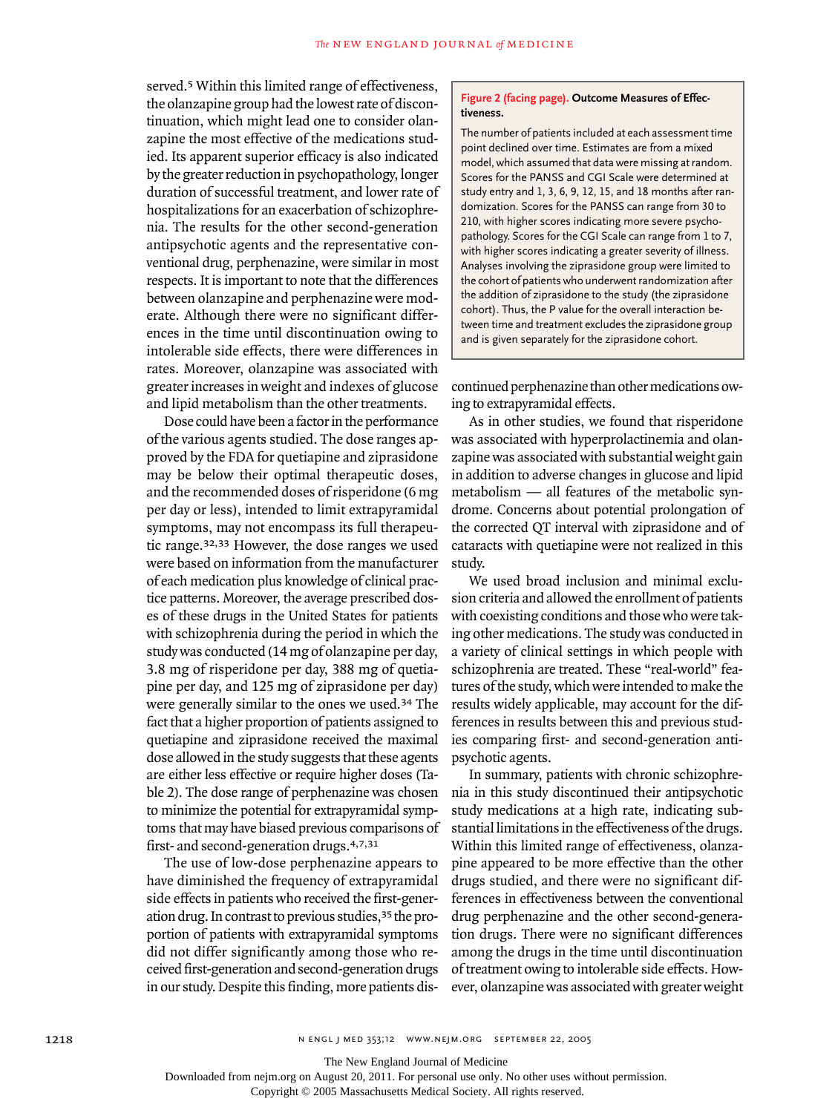served.<sup>5</sup> Within this limited range of effectiveness, the olanzapine group had the lowest rate of discontinuation, which might lead one to consider olanzapine the most effective of the medications studied. Its apparent superior efficacy is also indicated by the greater reduction in psychopathology, longer duration of successful treatment, and lower rate of hospitalizations for an exacerbation of schizophrenia. The results for the other second-generation antipsychotic agents and the representative conventional drug, perphenazine, were similar in most respects. It is important to note that the differences between olanzapine and perphenazine were moderate. Although there were no significant differences in the time until discontinuation owing to intolerable side effects, there were differences in rates. Moreover, olanzapine was associated with greater increases in weight and indexes of glucose and lipid metabolism than the other treatments.

Dose could have been a factor in the performance of the various agents studied. The dose ranges approved by the FDA for quetiapine and ziprasidone may be below their optimal therapeutic doses, and the recommended doses of risperidone (6 mg per day or less), intended to limit extrapyramidal symptoms, may not encompass its full therapeutic range.32,33 However, the dose ranges we used were based on information from the manufacturer of each medication plus knowledge of clinical practice patterns. Moreover, the average prescribed doses of these drugs in the United States for patients with schizophrenia during the period in which the study was conducted (14 mg of olanzapine per day, 3.8 mg of risperidone per day, 388 mg of quetiapine per day, and 125 mg of ziprasidone per day) were generally similar to the ones we used.34 The fact that a higher proportion of patients assigned to quetiapine and ziprasidone received the maximal dose allowed in the study suggests that these agents are either less effective or require higher doses (Table 2). The dose range of perphenazine was chosen to minimize the potential for extrapyramidal symptoms that may have biased previous comparisons of first- and second-generation drugs.4,7,31

The use of low-dose perphenazine appears to have diminished the frequency of extrapyramidal side effects in patients who received the first-generation drug. In contrast to previous studies,35 the proportion of patients with extrapyramidal symptoms did not differ significantly among those who received first-generation and second-generation drugs in our study. Despite this finding, more patients dis-

# **Figure 2 (facing page). Outcome Measures of Effectiveness.**

The number of patients included at each assessment time point declined over time. Estimates are from a mixed model, which assumed that data were missing at random. Scores for the PANSS and CGI Scale were determined at study entry and 1, 3, 6, 9, 12, 15, and 18 months after randomization. Scores for the PANSS can range from 30 to 210, with higher scores indicating more severe psychopathology. Scores for the CGI Scale can range from 1 to 7, with higher scores indicating a greater severity of illness. Analyses involving the ziprasidone group were limited to the cohort of patients who underwent randomization after the addition of ziprasidone to the study (the ziprasidone cohort). Thus, the P value for the overall interaction between time and treatment excludes the ziprasidone group and is given separately for the ziprasidone cohort.

continued perphenazine than other medications owing to extrapyramidal effects.

As in other studies, we found that risperidone was associated with hyperprolactinemia and olanzapine was associated with substantial weight gain in addition to adverse changes in glucose and lipid metabolism — all features of the metabolic syndrome. Concerns about potential prolongation of the corrected QT interval with ziprasidone and of cataracts with quetiapine were not realized in this study.

We used broad inclusion and minimal exclusion criteria and allowed the enrollment of patients with coexisting conditions and those who were taking other medications. The study was conducted in a variety of clinical settings in which people with schizophrenia are treated. These "real-world" features of the study, which were intended to make the results widely applicable, may account for the differences in results between this and previous studies comparing first- and second-generation antipsychotic agents.

In summary, patients with chronic schizophrenia in this study discontinued their antipsychotic study medications at a high rate, indicating substantial limitations in the effectiveness of the drugs. Within this limited range of effectiveness, olanzapine appeared to be more effective than the other drugs studied, and there were no significant differences in effectiveness between the conventional drug perphenazine and the other second-generation drugs. There were no significant differences among the drugs in the time until discontinuation of treatment owing to intolerable side effects. However, olanzapine was associated with greater weight

The New England Journal of Medicine

Downloaded from nejm.org on August 20, 2011. For personal use only. No other uses without permission.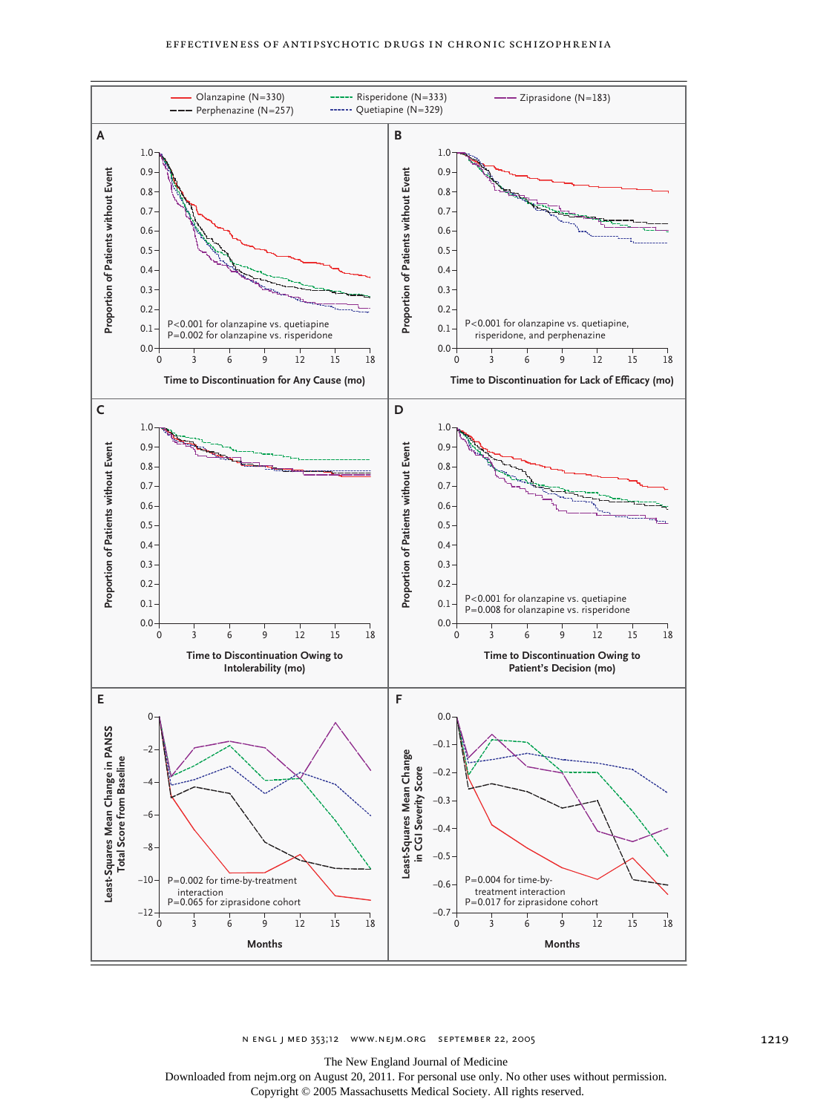

n engl j med 353;12 www.nejm.org september 22, 2005

1219

The New England Journal of Medicine

Downloaded from nejm.org on August 20, 2011. For personal use only. No other uses without permission.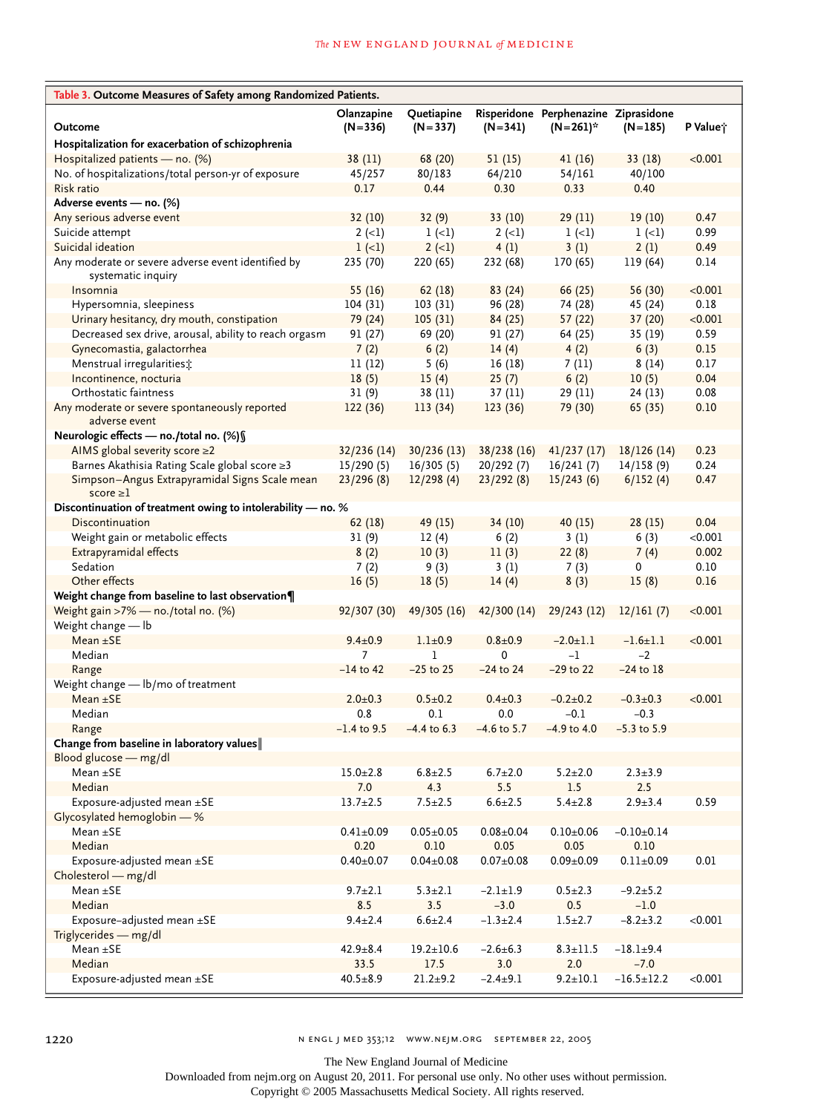| Table 3. Outcome Measures of Safety among Randomized Patients.           |                  |                    |                 |                                      |                  |              |
|--------------------------------------------------------------------------|------------------|--------------------|-----------------|--------------------------------------|------------------|--------------|
|                                                                          | Olanzapine       | Quetiapine         |                 | Risperidone Perphenazine Ziprasidone |                  |              |
| Outcome                                                                  | $(N=336)$        | $(N = 337)$        | $(N=341)$       | $(N=261)^{*}$                        | $(N=185)$        | P Value;     |
| Hospitalization for exacerbation of schizophrenia                        |                  |                    |                 |                                      |                  |              |
| Hospitalized patients - no. (%)                                          | 38 (11)          | 68 (20)            | 51 (15)         | 41(16)                               | 33(18)           | < 0.001      |
| No. of hospitalizations/total person-yr of exposure                      | 45/257           | 80/183             | 64/210          | 54/161                               | 40/100           |              |
| Risk ratio                                                               | 0.17             | 0.44               | 0.30            | 0.33                                 | 0.40             |              |
| Adverse events - no. (%)                                                 |                  |                    |                 |                                      |                  |              |
| Any serious adverse event                                                | 32(10)           | 32(9)              | 33(10)          | 29(11)                               | 19(10)           | 0.47         |
| Suicide attempt                                                          | $2(-1)$          | $1(-1)$            | $2(-1)$         | $1(-1)$                              | $1(-1)$          | 0.99         |
| Suicidal ideation                                                        | $1 (-1)$         | $2(-1)$            | 4(1)            | 3(1)                                 | 2(1)             | 0.49         |
| Any moderate or severe adverse event identified by<br>systematic inquiry | 235 (70)         | 220 (65)           | 232 (68)        | 170 (65)                             | 119 (64)         | 0.14         |
| Insomnia                                                                 | 55 (16)          | 62(18)             | 83(24)          | 66 (25)                              | 56 (30)          | < 0.001      |
| Hypersomnia, sleepiness                                                  | 104 (31)         | 103(31)            | 96 (28)         | 74 (28)                              | 45 (24)          | 0.18         |
| Urinary hesitancy, dry mouth, constipation                               | 79 (24)          | 105(31)            | 84(25)          | 57(22)                               | 37 (20)          | < 0.001      |
| Decreased sex drive, arousal, ability to reach orgasm                    | 91 (27)          | 69 (20)            | 91 (27)         | 64 (25)                              | 35 (19)          | 0.59<br>0.15 |
| Gynecomastia, galactorrhea                                               | 7(2)             | 6(2)               | 14(4)           | 4(2)                                 | 6(3)             | 0.17         |
| Menstrual irregularities;<br>Incontinence, nocturia                      | 11(12)           | 5(6)               | 16(18)          | 7(11)                                | 8(14)            | 0.04         |
| Orthostatic faintness                                                    | 18(5)            | 15(4)              | 25(7)<br>37(11) | 6(2)<br>29 (11)                      | 10(5)<br>24(13)  | 0.08         |
| Any moderate or severe spontaneously reported                            | 31(9)<br>122(36) | 38 (11)<br>113(34) | 123 (36)        | 79 (30)                              | 65(35)           | 0.10         |
| adverse event                                                            |                  |                    |                 |                                      |                  |              |
| Neurologic effects - no./total no. (%) §                                 |                  |                    |                 |                                      |                  |              |
| AIMS global severity score $\geq$ 2                                      | 32/236 (14)      | 30/236(13)         | 38/238 (16)     | 41/237 (17)                          | 18/126(14)       | 0.23         |
| Barnes Akathisia Rating Scale global score ≥3                            | 15/290(5)        | 16/305(5)          | 20/292(7)       | 16/241(7)                            | 14/158(9)        | 0.24         |
| Simpson-Angus Extrapyramidal Signs Scale mean<br>$score \geq 1$          | 23/296(8)        | 12/298(4)          | 23/292(8)       | 15/243(6)                            | 6/152(4)         | 0.47         |
| Discontinuation of treatment owing to intolerability - no. %             |                  |                    |                 |                                      |                  |              |
| Discontinuation                                                          | 62(18)           | 49 (15)            | 34 (10)         | 40(15)                               | 28(15)           | 0.04         |
| Weight gain or metabolic effects                                         | 31(9)            | 12(4)              | 6(2)            | 3(1)                                 | 6(3)             | <0.001       |
| Extrapyramidal effects                                                   | 8(2)             | 10(3)              | 11(3)           | 22(8)                                | 7(4)             | 0.002        |
| Sedation                                                                 | 7(2)             | 9(3)               | 3(1)            | 7(3)                                 | 0                | 0.10         |
| Other effects                                                            | 16(5)            | 18(5)              | 14(4)           | 8(3)                                 | 15(8)            | 0.16         |
| Weight change from baseline to last observation¶                         |                  |                    |                 |                                      |                  |              |
| Weight gain $>7\%$ — no./total no. (%)<br>Weight change - Ib             | 92/307 (30)      | 49/305 (16)        | 42/300 (14)     | 29/243 (12)                          | 12/161(7)        | < 0.001      |
| Mean $\pm$ SE                                                            | $9.4 \pm 0.9$    | $1.1 \pm 0.9$      | $0.8 + 0.9$     | $-2.0 \pm 1.1$                       | $-1.6 \pm 1.1$   | < 0.001      |
| Median                                                                   | 7                | 1                  | 0               | $^{-1}$                              | $-2$             |              |
| Range                                                                    | $-14$ to 42      | $-25$ to 25        | $-24$ to 24     | $-29$ to 22                          | $-24$ to $18$    |              |
| Weight change - lb/mo of treatment                                       |                  |                    |                 |                                      |                  |              |
| Mean $\pm$ SE                                                            | $2.0 \pm 0.3$    | $0.5 \pm 0.2$      | $0.4 \pm 0.3$   | $-0.2+0.2$                           | $-0.3 \pm 0.3$   | < 0.001      |
| Median                                                                   | 0.8              | 0.1                | 0.0             | $-0.1$                               | $-0.3$           |              |
| Range                                                                    | $-1.4$ to 9.5    | $-4.4$ to 6.3      | $-4.6$ to 5.7   | $-4.9$ to 4.0                        | $-5.3$ to $5.9$  |              |
| Change from baseline in laboratory values                                |                  |                    |                 |                                      |                  |              |
| Blood glucose - mg/dl                                                    |                  |                    |                 |                                      |                  |              |
| Mean $\pm$ SE                                                            | $15.0 \pm 2.8$   | $6.8 \pm 2.5$      | $6.7 + 2.0$     | $5.2 \pm 2.0$                        | $2.3 \pm 3.9$    |              |
| Median                                                                   | 7.0              | 4.3                | 5.5             | $1.5\,$                              | 2.5              |              |
| Exposure-adjusted mean ±SE                                               | $13.7 \pm 2.5$   | $7.5 \pm 2.5$      | $6.6 \pm 2.5$   | $5.4 \pm 2.8$                        | $2.9 + 3.4$      | 0.59         |
| Glycosylated hemoglobin - %                                              |                  |                    |                 |                                      |                  |              |
| Mean $\pm$ SE                                                            | $0.41 \pm 0.09$  | $0.05 \pm 0.05$    | $0.08 \pm 0.04$ | $0.10+0.06$                          | $-0.10+0.14$     |              |
| Median                                                                   | 0.20             | 0.10               | 0.05            | 0.05                                 | 0.10             |              |
| Exposure-adjusted mean ±SE                                               | $0.40 \pm 0.07$  | $0.04 \pm 0.08$    | $0.07 \pm 0.08$ | $0.09 \pm 0.09$                      | $0.11 \pm 0.09$  | 0.01         |
| Cholesterol - mg/dl                                                      |                  |                    |                 |                                      |                  |              |
| Mean $\pm$ SE                                                            | $9.7 \pm 2.1$    | $5.3 \pm 2.1$      | $-2.1 \pm 1.9$  | $0.5 \pm 2.3$                        | $-9.2 \pm 5.2$   |              |
| Median                                                                   | 8.5              | 3.5                | $-3.0$          | 0.5                                  | $-1.0$           |              |
| Exposure-adjusted mean ±SE                                               | $9.4 \pm 2.4$    | $6.6 \pm 2.4$      | $-1.3 \pm 2.4$  | $1.5 \pm 2.7$                        | $-8.2 \pm 3.2$   | < 0.001      |
| Triglycerides - mg/dl                                                    |                  |                    |                 |                                      |                  |              |
| Mean $\pm$ SE                                                            | $42.9 \pm 8.4$   | $19.2 \pm 10.6$    | $-2.6 \pm 6.3$  | $8.3 \pm 11.5$                       | $-18.1 \pm 9.4$  |              |
| Median                                                                   | 33.5             | 17.5               | 3.0             | 2.0                                  | $-7.0$           |              |
| Exposure-adjusted mean ±SE                                               | $40.5 \pm 8.9$   | $21.2 + 9.2$       | $-2.4+9.1$      | $9.2 \pm 10.1$                       | $-16.5 \pm 12.2$ | < 0.001      |

n engl j med 353;12 www.nejm.org september 22, 2005

The New England Journal of Medicine

Downloaded from nejm.org on August 20, 2011. For personal use only. No other uses without permission.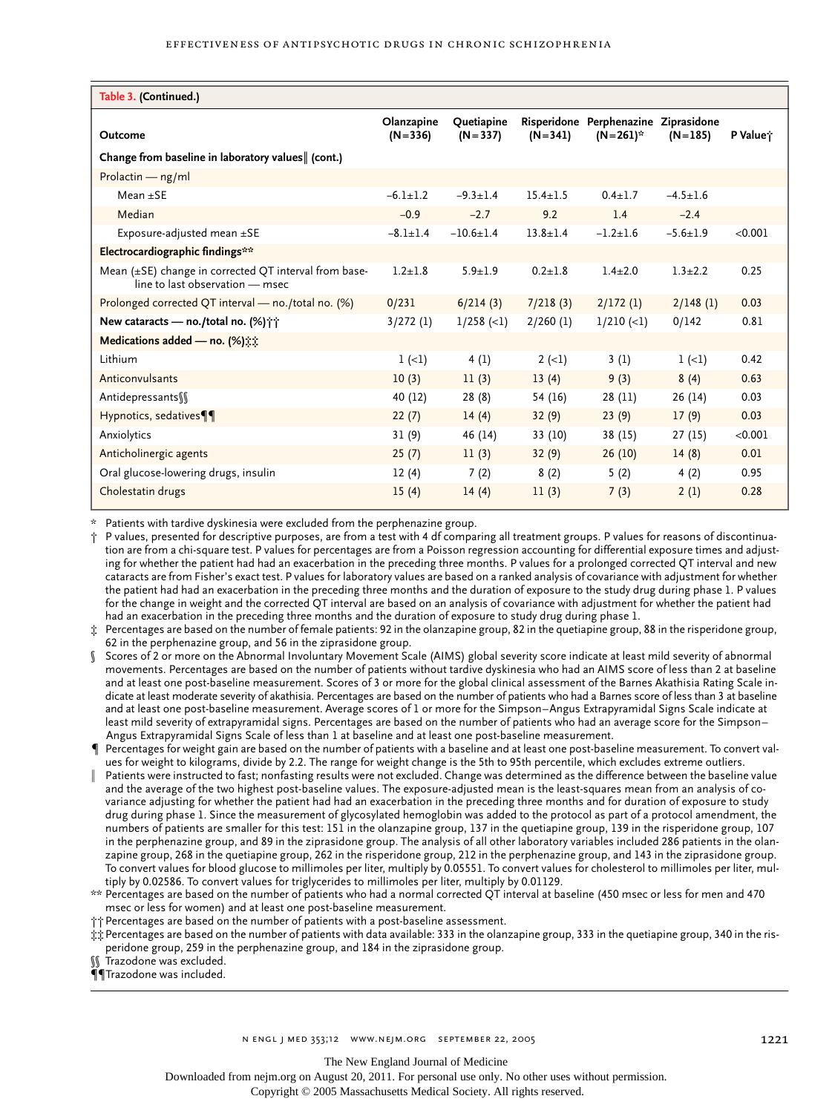| Table 3. (Continued.)                                                                         |                           |                           |              |                                                     |                |                      |
|-----------------------------------------------------------------------------------------------|---------------------------|---------------------------|--------------|-----------------------------------------------------|----------------|----------------------|
| Outcome                                                                                       | Olanzapine<br>$(N = 336)$ | Quetiapine<br>$(N = 337)$ | $(N=341)$    | Risperidone Perphenazine Ziprasidone<br>$(N=261)^*$ | $(N=185)$      | P Value <sup>*</sup> |
| Change from baseline in laboratory values (cont.)                                             |                           |                           |              |                                                     |                |                      |
| Prolactin $-$ ng/ml                                                                           |                           |                           |              |                                                     |                |                      |
| Mean $\pm$ SE                                                                                 | $-6.1 \pm 1.2$            | $-9.3 + 1.4$              | $15.4 + 1.5$ | $0.4 \pm 1.7$                                       | $-4.5 + 1.6$   |                      |
| Median                                                                                        | $-0.9$                    | $-2.7$                    | 9.2          | 1.4                                                 | $-2.4$         |                      |
| Exposure-adjusted mean $\pm$ SE                                                               | $-8.1 + 1.4$              | $-10.6 + 1.4$             | $13.8 + 1.4$ | $-1.2+1.6$                                          | $-5.6 \pm 1.9$ | < 0.001              |
| Electrocardiographic findings**                                                               |                           |                           |              |                                                     |                |                      |
| Mean $(\pm SE)$ change in corrected QT interval from base-<br>line to last observation - msec | $1.2 + 1.8$               | $5.9 + 1.9$               | $0.2 + 1.8$  | $1.4 + 2.0$                                         | $1.3 + 2.2$    | 0.25                 |
| Prolonged corrected QT interval - no./total no. (%)                                           | 0/231                     | 6/214(3)                  | 7/218(3)     | 2/172(1)                                            | 2/148(1)       | 0.03                 |
| New cataracts - no./total no. (%) $\dot{\uparrow}\dot{\uparrow}$                              | $3/272$ (1)               | $1/258$ (<1)              | $2/260$ (1)  | $1/210$ (<1)                                        | 0/142          | 0.81                 |
| Medications added - no. $(\%)$                                                                |                           |                           |              |                                                     |                |                      |
| Lithium                                                                                       | $1 (-1)$                  | 4(1)                      | $2 (-1)$     | 3(1)                                                | $1 (-1)$       | 0.42                 |
| Anticonvulsants                                                                               | 10(3)                     | 11(3)                     | 13(4)        | 9(3)                                                | 8(4)           | 0.63                 |
| Antidepressants                                                                               | 40 (12)                   | 28(8)                     | 54 (16)      | 28 (11)                                             | 26(14)         | 0.03                 |
| Hypnotics, sedatives¶¶                                                                        | 22(7)                     | 14(4)                     | 32(9)        | 23(9)                                               | 17(9)          | 0.03                 |
| Anxiolytics                                                                                   | 31(9)                     | 46 (14)                   | 33 (10)      | 38 (15)                                             | 27(15)         | < 0.001              |
| Anticholinergic agents                                                                        | 25(7)                     | 11(3)                     | 32(9)        | 26(10)                                              | 14(8)          | 0.01                 |
| Oral glucose-lowering drugs, insulin                                                          | 12(4)                     | 7(2)                      | 8(2)         | 5(2)                                                | 4(2)           | 0.95                 |
| Cholestatin drugs                                                                             | 15(4)                     | 14(4)                     | 11(3)        | 7(3)                                                | 2(1)           | 0.28                 |

\* Patients with tardive dyskinesia were excluded from the perphenazine group.

† P values, presented for descriptive purposes, are from a test with 4 df comparing all treatment groups. P values for reasons of discontinuation are from a chi-square test. P values for percentages are from a Poisson regression accounting for differential exposure times and adjusting for whether the patient had had an exacerbation in the preceding three months. P values for a prolonged corrected QT interval and new cataracts are from Fisher's exact test. P values for laboratory values are based on a ranked analysis of covariance with adjustment for whether the patient had had an exacerbation in the preceding three months and the duration of exposure to the study drug during phase 1. P values for the change in weight and the corrected QT interval are based on an analysis of covariance with adjustment for whether the patient had had an exacerbation in the preceding three months and the duration of exposure to study drug during phase 1.

Percentages are based on the number of female patients: 92 in the olanzapine group, 82 in the quetiapine group, 88 in the risperidone group, 62 in the perphenazine group, and 56 in the ziprasidone group.

- § Scores of 2 or more on the Abnormal Involuntary Movement Scale (AIMS) global severity score indicate at least mild severity of abnormal movements. Percentages are based on the number of patients without tardive dyskinesia who had an AIMS score of less than 2 at baseline and at least one post-baseline measurement. Scores of 3 or more for the global clinical assessment of the Barnes Akathisia Rating Scale indicate at least moderate severity of akathisia. Percentages are based on the number of patients who had a Barnes score of less than 3 at baseline and at least one post-baseline measurement. Average scores of 1 or more for the Simpson–Angus Extrapyramidal Signs Scale indicate at least mild severity of extrapyramidal signs. Percentages are based on the number of patients who had an average score for the Simpson– Angus Extrapyramidal Signs Scale of less than 1 at baseline and at least one post-baseline measurement.
- Percentages for weight gain are based on the number of patients with a baseline and at least one post-baseline measurement. To convert values for weight to kilograms, divide by 2.2. The range for weight change is the 5th to 95th percentile, which excludes extreme outliers.
- Patients were instructed to fast; nonfasting results were not excluded. Change was determined as the difference between the baseline value and the average of the two highest post-baseline values. The exposure-adjusted mean is the least-squares mean from an analysis of covariance adjusting for whether the patient had had an exacerbation in the preceding three months and for duration of exposure to study drug during phase 1. Since the measurement of glycosylated hemoglobin was added to the protocol as part of a protocol amendment, the numbers of patients are smaller for this test: 151 in the olanzapine group, 137 in the quetiapine group, 139 in the risperidone group, 107 in the perphenazine group, and 89 in the ziprasidone group. The analysis of all other laboratory variables included 286 patients in the olanzapine group, 268 in the quetiapine group, 262 in the risperidone group, 212 in the perphenazine group, and 143 in the ziprasidone group. To convert values for blood glucose to millimoles per liter, multiply by 0.05551. To convert values for cholesterol to millimoles per liter, multiply by 0.02586. To convert values for triglycerides to millimoles per liter, multiply by 0.01129.
- \*\* Percentages are based on the number of patients who had a normal corrected QT interval at baseline (450 msec or less for men and 470 msec or less for women) and at least one post-baseline measurement.
- ††Percentages are based on the number of patients with a post-baseline assessment.
- ‡‡Percentages are based on the number of patients with data available: 333 in the olanzapine group, 333 in the quetiapine group, 340 in the risperidone group, 259 in the perphenazine group, and 184 in the ziprasidone group.

Trazodone was excluded.

¶¶Trazodone was included.

1221

The New England Journal of Medicine

Downloaded from nejm.org on August 20, 2011. For personal use only. No other uses without permission.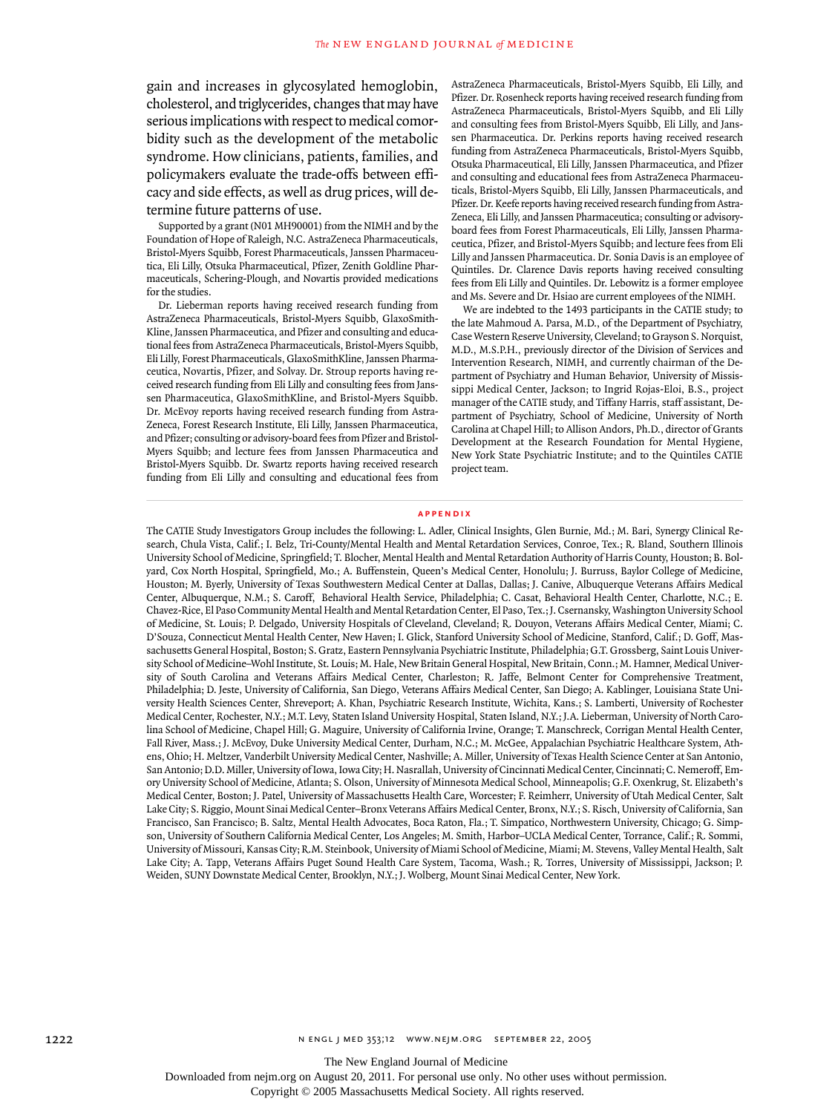gain and increases in glycosylated hemoglobin, cholesterol, and triglycerides, changes that may have serious implications with respect to medical comorbidity such as the development of the metabolic syndrome. How clinicians, patients, families, and policymakers evaluate the trade-offs between efficacy and side effects, as well as drug prices, will determine future patterns of use.

Supported by a grant (N01 MH90001) from the NIMH and by the Foundation of Hope of Raleigh, N.C. AstraZeneca Pharmaceuticals, Bristol-Myers Squibb, Forest Pharmaceuticals, Janssen Pharmaceutica, Eli Lilly, Otsuka Pharmaceutical, Pfizer, Zenith Goldline Pharmaceuticals, Schering-Plough, and Novartis provided medications for the studies.

Dr. Lieberman reports having received research funding from AstraZeneca Pharmaceuticals, Bristol-Myers Squibb, GlaxoSmith-Kline, Janssen Pharmaceutica, and Pfizer and consulting and educational fees from AstraZeneca Pharmaceuticals, Bristol-Myers Squibb, Eli Lilly, Forest Pharmaceuticals, GlaxoSmithKline, Janssen Pharmaceutica, Novartis, Pfizer, and Solvay. Dr. Stroup reports having received research funding from Eli Lilly and consulting fees from Janssen Pharmaceutica, GlaxoSmithKline, and Bristol-Myers Squibb. Dr. McEvoy reports having received research funding from Astra-Zeneca, Forest Research Institute, Eli Lilly, Janssen Pharmaceutica, and Pfizer; consulting or advisory-board fees from Pfizer and Bristol-Myers Squibb; and lecture fees from Janssen Pharmaceutica and Bristol-Myers Squibb. Dr. Swartz reports having received research funding from Eli Lilly and consulting and educational fees from

AstraZeneca Pharmaceuticals, Bristol-Myers Squibb, Eli Lilly, and Pfizer. Dr. Rosenheck reports having received research funding from AstraZeneca Pharmaceuticals, Bristol-Myers Squibb, and Eli Lilly and consulting fees from Bristol-Myers Squibb, Eli Lilly, and Janssen Pharmaceutica. Dr. Perkins reports having received research funding from AstraZeneca Pharmaceuticals, Bristol-Myers Squibb, Otsuka Pharmaceutical, Eli Lilly, Janssen Pharmaceutica, and Pfizer and consulting and educational fees from AstraZeneca Pharmaceuticals, Bristol-Myers Squibb, Eli Lilly, Janssen Pharmaceuticals, and Pfizer. Dr. Keefe reports having received research funding from Astra-Zeneca, Eli Lilly, and Janssen Pharmaceutica; consulting or advisoryboard fees from Forest Pharmaceuticals, Eli Lilly, Janssen Pharmaceutica, Pfizer, and Bristol-Myers Squibb; and lecture fees from Eli Lilly and Janssen Pharmaceutica. Dr. Sonia Davis is an employee of Quintiles. Dr. Clarence Davis reports having received consulting fees from Eli Lilly and Quintiles. Dr. Lebowitz is a former employee and Ms. Severe and Dr. Hsiao are current employees of the NIMH.

We are indebted to the 1493 participants in the CATIE study; to the late Mahmoud A. Parsa, M.D., of the Department of Psychiatry, Case Western Reserve University, Cleveland; to Grayson S. Norquist, M.D., M.S.P.H., previously director of the Division of Services and Intervention Research, NIMH, and currently chairman of the Department of Psychiatry and Human Behavior, University of Mississippi Medical Center, Jackson; to Ingrid Rojas-Eloi, B.S., project manager of the CATIE study, and Tiffany Harris, staff assistant, Department of Psychiatry, School of Medicine, University of North Carolina at Chapel Hill; to Allison Andors, Ph.D., director of Grants Development at the Research Foundation for Mental Hygiene, New York State Psychiatric Institute; and to the Quintiles CATIE project team.

#### **appendix**

The CATIE Study Investigators Group includes the following: L. Adler, Clinical Insights, Glen Burnie, Md.; M. Bari, Synergy Clinical Research, Chula Vista, Calif.; I. Belz, Tri-County/Mental Health and Mental Retardation Services, Conroe, Tex.; R. Bland, Southern Illinois University School of Medicine, Springfield; T. Blocher, Mental Health and Mental Retardation Authority of Harris County, Houston; B. Bolyard, Cox North Hospital, Springfield, Mo.; A. Buffenstein, Queen's Medical Center, Honolulu; J. Burruss, Baylor College of Medicine, Houston; M. Byerly, University of Texas Southwestern Medical Center at Dallas, Dallas; J. Canive, Albuquerque Veterans Affairs Medical Center, Albuquerque, N.M.; S. Caroff, Behavioral Health Service, Philadelphia; C. Casat, Behavioral Health Center, Charlotte, N.C.; E. Chavez-Rice, El Paso Community Mental Health and Mental Retardation Center, El Paso, Tex.; J. Csernansky, Washington University School of Medicine, St. Louis; P. Delgado, University Hospitals of Cleveland, Cleveland; R. Douyon, Veterans Affairs Medical Center, Miami; C. D'Souza, Connecticut Mental Health Center, New Haven; I. Glick, Stanford University School of Medicine, Stanford, Calif.; D. Goff, Massachusetts General Hospital, Boston; S. Gratz, Eastern Pennsylvania Psychiatric Institute, Philadelphia; G.T. Grossberg, Saint Louis University School of Medicine–Wohl Institute, St. Louis; M. Hale, New Britain General Hospital, New Britain, Conn.; M. Hamner, Medical University of South Carolina and Veterans Affairs Medical Center, Charleston; R. Jaffe, Belmont Center for Comprehensive Treatment, Philadelphia; D. Jeste, University of California, San Diego, Veterans Affairs Medical Center, San Diego; A. Kablinger, Louisiana State University Health Sciences Center, Shreveport; A. Khan, Psychiatric Research Institute, Wichita, Kans.; S. Lamberti, University of Rochester Medical Center, Rochester, N.Y.; M.T. Levy, Staten Island University Hospital, Staten Island, N.Y.; J.A. Lieberman, University of North Carolina School of Medicine, Chapel Hill; G. Maguire, University of California Irvine, Orange; T. Manschreck, Corrigan Mental Health Center, Fall River, Mass.; J. McEvoy, Duke University Medical Center, Durham, N.C.; M. McGee, Appalachian Psychiatric Healthcare System, Athens, Ohio; H. Meltzer, Vanderbilt University Medical Center, Nashville; A. Miller, University of Texas Health Science Center at San Antonio, San Antonio; D.D. Miller, University of Iowa, Iowa City; H. Nasrallah, University of Cincinnati Medical Center, Cincinnati; C. Nemeroff, Emory University School of Medicine, Atlanta; S. Olson, University of Minnesota Medical School, Minneapolis; G.F. Oxenkrug, St. Elizabeth's Medical Center, Boston; J. Patel, University of Massachusetts Health Care, Worcester; F. Reimherr, University of Utah Medical Center, Salt Lake City; S. Riggio, Mount Sinai Medical Center–Bronx Veterans Affairs Medical Center, Bronx, N.Y.; S. Risch, University of California, San Francisco, San Francisco; B. Saltz, Mental Health Advocates, Boca Raton, Fla.; T. Simpatico, Northwestern University, Chicago; G. Simpson, University of Southern California Medical Center, Los Angeles; M. Smith, Harbor–UCLA Medical Center, Torrance, Calif.; R. Sommi, University of Missouri, Kansas City; R.M. Steinbook, University of Miami School of Medicine, Miami; M. Stevens, Valley Mental Health, Salt Lake City; A. Tapp, Veterans Affairs Puget Sound Health Care System, Tacoma, Wash.; R. Torres, University of Mississippi, Jackson; P. Weiden, SUNY Downstate Medical Center, Brooklyn, N.Y.; J. Wolberg, Mount Sinai Medical Center, New York.

The New England Journal of Medicine

Downloaded from nejm.org on August 20, 2011. For personal use only. No other uses without permission.